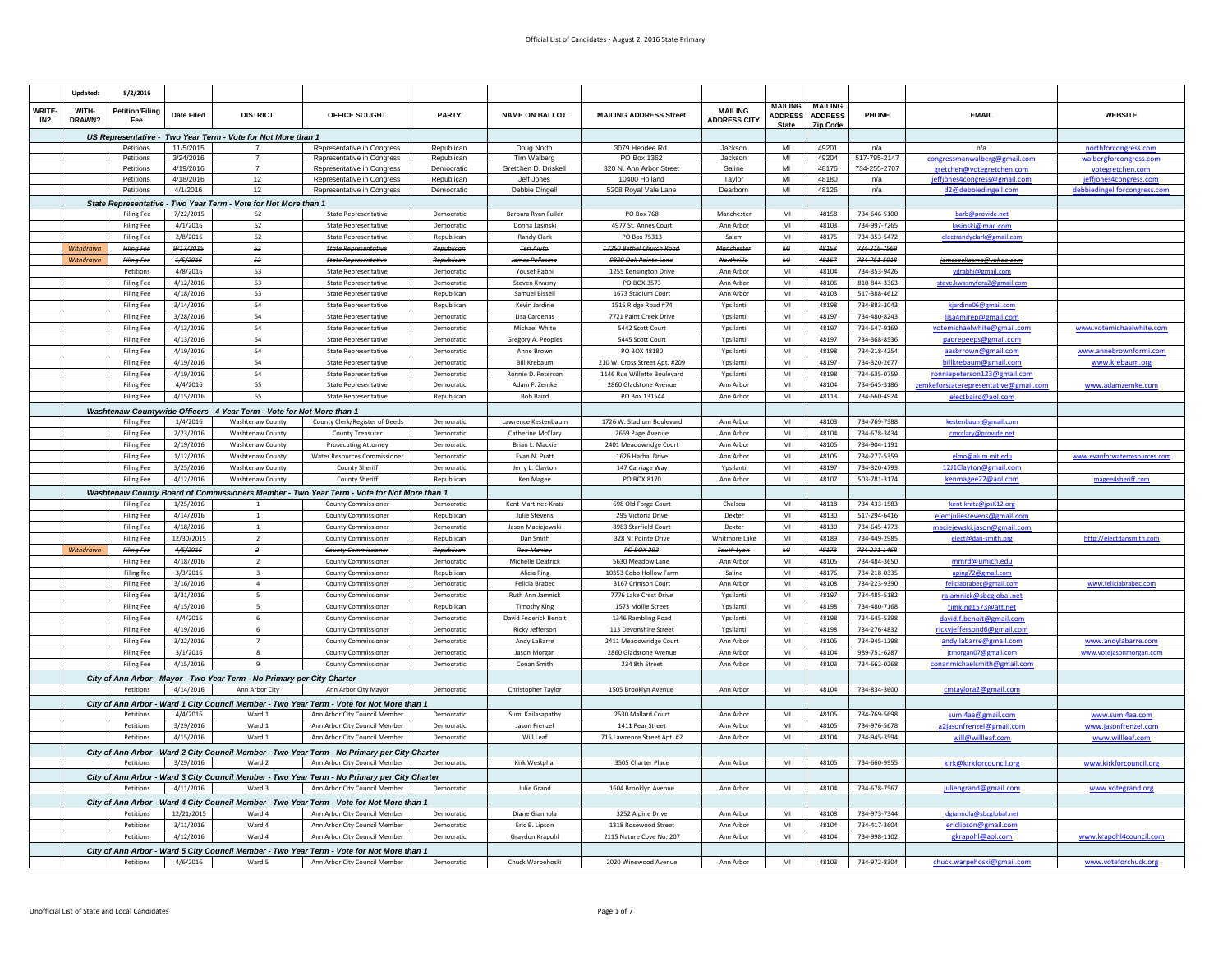|                                                                                 | Updated:               | 8/2/2016                      |                        |                                                                         |                                                                                              |                          |                                           |                                                 |                                       |                |                |                              |                                                          |                                           |
|---------------------------------------------------------------------------------|------------------------|-------------------------------|------------------------|-------------------------------------------------------------------------|----------------------------------------------------------------------------------------------|--------------------------|-------------------------------------------|-------------------------------------------------|---------------------------------------|----------------|----------------|------------------------------|----------------------------------------------------------|-------------------------------------------|
|                                                                                 |                        |                               |                        |                                                                         |                                                                                              |                          |                                           |                                                 |                                       | <b>MAILING</b> | <b>MAILING</b> |                              |                                                          |                                           |
| <b>WRITE-</b><br>IN?                                                            | WITH-<br>DRAWN?        | <b>Petition/Filing</b><br>Fee | <b>Date Filed</b>      | <b>DISTRICT</b>                                                         | OFFICE SOUGHT                                                                                | <b>PARTY</b>             | <b>NAME ON BALLOT</b>                     | <b>MAILING ADDRESS Street</b>                   | <b>MAILING</b><br><b>ADDRESS CITY</b> | <b>ADDRESS</b> | <b>ADDRESS</b> | PHONE                        | <b>EMAIL</b>                                             | <b>WEBSITE</b>                            |
|                                                                                 |                        |                               |                        |                                                                         |                                                                                              |                          |                                           |                                                 |                                       | <b>State</b>   | Zip Cod        |                              |                                                          |                                           |
|                                                                                 |                        |                               |                        | US Representative - Two Year Term - Vote for Not More than 1            |                                                                                              |                          |                                           |                                                 |                                       |                |                |                              |                                                          |                                           |
|                                                                                 |                        | Petitions                     | 11/5/2015              |                                                                         | Representative in Congress                                                                   | Republican               | Doug North                                | 3079 Hendee Rd.                                 | Jackson                               | MI             | 49201          | n/a                          | n/a                                                      | northforcongress.com                      |
|                                                                                 |                        | Petitions<br>Petitions        | 3/24/2016<br>4/19/2016 | $\overline{7}$<br>$\overline{7}$                                        | Representative in Congress<br>Representative in Congress                                     | Republican<br>Democratic | Tim Walberg<br>Gretchen D. Driskell       | PO Box 1362<br>320 N. Ann Arbor Street          | Jackson<br>Saline                     | MI<br>MI       | 49204<br>48176 | 517-795-2147<br>734-255-2707 | congressmanwalberg@gmail.com                             | walbergforcongress.com                    |
|                                                                                 |                        | Petitions                     | 4/18/2016              | 12                                                                      | Representative in Congress                                                                   | Republican               | Jeff Jones                                | 10400 Holland                                   | Tavlor                                | MI             | 48180          | n/a                          | gretchen@votegretchen.com<br>effjones4congress@gmail.com | votegretchen.com<br>effjones4congress.com |
|                                                                                 |                        | Petitions                     | 4/1/2016               | 12                                                                      | Representative in Congress                                                                   | Democratic               | Debbie Dingell                            | 5208 Royal Vale Lane                            | Dearborn                              | M <sub>l</sub> | 48126          | n/a                          | d2@debbiedingell.com                                     | debbiedingellforcongress.com              |
|                                                                                 |                        |                               |                        |                                                                         |                                                                                              |                          |                                           |                                                 |                                       |                |                |                              |                                                          |                                           |
|                                                                                 |                        | <b>Filing Fee</b>             | 7/22/2015              | State Representative - Two Year Term - Vote for Not More than 1<br>52   | <b>State Representative</b>                                                                  | Democratic               | Barbara Ryan Fuller                       | <b>PO Box 768</b>                               | Manchester                            | $\mathsf{MI}$  | 48158          | 734-646-5100                 | harh@nrovide.net                                         |                                           |
|                                                                                 |                        | <b>Filing Fee</b>             | 4/1/2016               | 52                                                                      | <b>State Representative</b>                                                                  | Democratic               | Donna Lasinski                            | 4977 St. Annes Court                            | Ann Arbor                             | MI             | 48103          | 734-997-7265                 |                                                          |                                           |
|                                                                                 |                        |                               | 2/8/2016               |                                                                         |                                                                                              |                          |                                           |                                                 |                                       | MI             | 48175          | 734-353-5472                 | lasinski@mac.com                                         |                                           |
|                                                                                 |                        | Filing Fee                    |                        | 52                                                                      | <b>State Representative</b>                                                                  | Republican               | Randy Clark                               | PO Box 75313                                    | Salem                                 | AA             | 48158          |                              | electrandyclark@gmail.con                                |                                           |
|                                                                                 | Withdrawr<br>Withdrawr | Filing Fee<br>Filing Fer      | 9/17/2015<br>1/5/2016  | 52<br>52                                                                | <b>State Representative</b><br><b>State Representativ</b>                                    | Republican<br>Rent       | <b>Teri Aiuto</b><br><b>James Pellosm</b> | 17250 Bethel Church Road<br>9880 Ook Pointe Lan | Manchester<br>Northville              | $AAI$          | 48167          | 734-216-7569<br>734-751-5018 |                                                          |                                           |
|                                                                                 |                        | Petitions                     | 4/8/2016               | 53                                                                      |                                                                                              | Democratic               | Yousef Rabhi                              |                                                 | Ann Arhor                             | MI             | 48104          | 734-353-9426                 | jamespellosma@yahoo.com                                  |                                           |
|                                                                                 |                        |                               |                        |                                                                         | <b>State Representative</b>                                                                  |                          |                                           | 1255 Kensington Drive                           |                                       |                |                |                              |                                                          |                                           |
|                                                                                 |                        | <b>Filing Fee</b>             | 4/12/2016              | 53                                                                      | <b>State Representative</b>                                                                  | Democratio               | Steven Kwasny                             | PO BOX 3573                                     | Ann Arbor                             | MI<br>MI       | 48106          | 810-844-3363                 | steve.kwasnyfora2@gmail.com                              |                                           |
|                                                                                 |                        | <b>Filing Fee</b>             | 4/18/2016              | 53                                                                      | <b>State Representative</b>                                                                  | Republican               | Samuel Bissell                            | 1673 Stadium Court                              | Ann Arbor                             | MI             | 48103          | 517-388-4612                 |                                                          |                                           |
|                                                                                 |                        | <b>Filing Fee</b>             | 3/14/2016              | 54                                                                      | <b>State Representative</b>                                                                  | Republican               | Kevin Jardine                             | 1515 Ridge Road #74                             | Ypsilanti                             |                | 48198          | 734-883-3043                 | kjardine06@gmail.com                                     |                                           |
|                                                                                 |                        | <b>Filing Fee</b>             | 3/28/2016              | 54                                                                      | <b>State Representative</b>                                                                  | Democratic               | Lisa Cardenas                             | 7721 Paint Creek Drive                          | Ypsilanti                             | MI             | 48197          | 734-480-8243                 | lisa4mirep@gmail.com                                     |                                           |
|                                                                                 |                        | <b>Filing Fee</b>             | 4/13/2016              | 54<br>54                                                                | <b>State Representative</b>                                                                  | Democratic               | Michael White                             | 5442 Scott Court                                | Yosilanti                             | MI             | 48197<br>48197 | 734-547-9169                 | votemichaelwhite@gmail.com                               | www.votemichaelwhite.cor                  |
|                                                                                 |                        | Filing Fee                    | 4/13/2016              |                                                                         | <b>State Representative</b>                                                                  | Democratic               | Gregory A. Peoples                        | 5445 Scott Court                                | Yosilanti                             | MI             |                | 734-368-8536                 | padrepeeps@gmail.co                                      |                                           |
|                                                                                 |                        | <b>Filing Fee</b>             | 4/19/2016              | 54                                                                      | <b>State Representative</b>                                                                  | Democratic               | Anne Brown                                | PO BOX 48180                                    | Ypsilanti                             | MI             | 48198          | 734-218-4254                 | aasbrrown@gmail.com                                      | www.annebrownformi.com                    |
|                                                                                 |                        | Filing Fee                    | 4/19/2016              | 54                                                                      | <b>State Representative</b>                                                                  | Democratic               | <b>Bill Krebaum</b>                       | 210 W. Cross Street Apt. #209                   | Ypsilanti                             | MI             | 48197          | 734-320-2677                 | billkrebaum@gmail.com                                    | www.krebaum.org                           |
|                                                                                 |                        | <b>Filing Fee</b>             | 4/19/2016              | 54                                                                      | <b>State Representative</b>                                                                  | Democratic               | Ronnie D. Peterson                        | 1146 Rue Willette Boulevard                     | Ypsilanti                             | MI             | 48198          | 734-635-0759                 | ronniepeterson123@gmail.com                              |                                           |
|                                                                                 |                        | <b>Filing Fee</b>             | 4/4/2016               | 55                                                                      | <b>State Representative</b>                                                                  | Democratic               | Adam F. Zemke                             | 2860 Gladstone Avenue                           | Ann Arbor                             | MI             | 48104          | 734-645-3186                 | emkeforstaterepresentative@gmail.com                     | www.adamzemke.com                         |
|                                                                                 |                        | <b>Filing Fee</b>             | 4/15/2016              | 55                                                                      | State Representative                                                                         | Republican               | <b>Bob Baird</b>                          | PO Box 131544                                   | Ann Arbor                             | MI             | 48113          | 734-660-4924                 |                                                          |                                           |
|                                                                                 |                        |                               |                        | Washtenaw Countywide Officers - 4 Year Term - Vote for Not More than 1  |                                                                                              |                          |                                           |                                                 |                                       |                |                |                              |                                                          |                                           |
|                                                                                 |                        | <b>Filing Fee</b>             | 1/4/2016               | <b>Washtenaw County</b>                                                 | County Clerk/Register of Deeds                                                               | Democratic               | Lawrence Kestenbaum                       | 1726 W. Stadium Boulevard                       | Ann Arbor                             | MI             | 48103          | 734-769-7388                 | kestenbaum@gmail.com                                     |                                           |
|                                                                                 |                        | <b>Filing Fee</b>             | 2/23/2016              | Washtenaw County                                                        | <b>County Treasure</b>                                                                       | Democratic               | Catherine McClary                         | 2669 Page Avenue                                | Ann Arbor                             | MI             | 48104          | 734-678-3434                 | cmcclary@provide.ne                                      |                                           |
|                                                                                 |                        | <b>Filing Fee</b>             | 2/19/2016              | <b>Washtenaw County</b>                                                 | <b>Prosecuting Attorney</b>                                                                  | Democratic               | Brian L. Mackie                           | 2401 Meadowridge Court                          | Ann Arbor                             | MI             | 48105          | 734-904-1191                 |                                                          |                                           |
|                                                                                 |                        | <b>Filing Fee</b>             | 1/12/2016              | Washtenaw County                                                        | <b>Water Resources Commissioner</b>                                                          | Democratic               | Evan N. Pratt                             | 1626 Harbal Drive                               | Ann Arbor                             | MI             | 48105          | 734-277-5359                 | elmo@alum.mit.edu                                        | www.evanforwaterresources.com             |
|                                                                                 |                        | Filing Fee                    | 3/25/2016              | <b>Washtenaw County</b>                                                 | <b>County Sheriff</b>                                                                        | Democratic               | Jerry L. Clayton                          | 147 Carriage Way                                | Ypsilanti                             | MI             | 48197          | 734-320-4793                 | 12J1Clayton@gmail.com                                    |                                           |
|                                                                                 |                        | <b>Filing Fee</b>             | 4/12/2016              | Washtenaw County                                                        | County Sheriff                                                                               | Republican               | Ken Magee                                 | PO BOX 8170                                     | Ann Arbor                             | MI             | 48107          | 503-781-3174                 | kenmagee22@aol.com                                       | magee4sheriff.com                         |
|                                                                                 |                        |                               |                        |                                                                         | Washtenaw County Board of Commissioners Member - Two Year Term - Vote for Not More than 1    |                          |                                           |                                                 |                                       |                |                |                              |                                                          |                                           |
|                                                                                 |                        | Filing Fee                    | 1/25/2016              | $\overline{1}$                                                          | <b>County Commissioner</b>                                                                   | Democratic               | Kent Martinez-Kratz                       | 698 Old Forge Court                             | Chelsea                               | MI             | 48118          | 734-433-1583                 | kent.kratz@jpsK12.org                                    |                                           |
|                                                                                 |                        | <b>Filing Fee</b>             | 4/14/2016              | 1                                                                       | <b>County Commissioner</b>                                                                   | Republican               | Julie Stevens                             | 295 Victoria Drive                              | Dexter                                | MI             | 48130          | 517-294-6416                 | electjuliestevens@gmail.com                              |                                           |
|                                                                                 |                        | <b>Filing Fee</b>             | 4/18/2016              | <sup>1</sup>                                                            | <b>County Commissioner</b>                                                                   | Democratic               | Jason Macieiewsk                          | 8983 Starfield Court                            | Dexter                                | MI             | 48130          | 734-645-4773                 | maciejewski.jason@gmail.com                              |                                           |
|                                                                                 |                        | Filing Fee                    | 12/30/2015             | $\overline{2}$                                                          | <b>County Commissioner</b>                                                                   | Republican               | Dan Smith                                 | 328 N. Pointe Drive                             | Whitmore Lake                         | MI             | 48189          | 734-449-2985                 | elect@dan-smith.org                                      | http://electdansmith.com                  |
|                                                                                 | Withdrawn              | Filing Fee                    | 4/5/2016               | $\hat{\mathbf{z}}$                                                      | <b>County Commissioner</b>                                                                   | Republican               | <b>Ron Manley</b>                         | PO BOX 283                                      | South Lyon                            | $AAI$          | 48178          | 734-231-1468                 |                                                          |                                           |
|                                                                                 |                        | <b>Filing Fee</b>             | 4/18/2016              | $\overline{2}$                                                          | <b>County Commissioner</b>                                                                   | Democratic               | Michelle Deatrick                         | 5630 Meadow Lane                                | Ann Arbor                             | MI             | 48105          | 734-484-3650                 | mmrd@umich.edu                                           |                                           |
|                                                                                 |                        | Filing fee                    | 3/3/2016               | $\mathbf{R}$                                                            | <b>County Commissioner</b>                                                                   | Republican               | Alicia Ping                               | 10353 Cobb Hollow Farm                          | Saline                                | MI             | 48176          | 734-218-0335                 | aping72@gmail.com                                        |                                           |
|                                                                                 |                        | <b>Filing Fee</b>             | 3/16/2016              | $\overline{4}$                                                          | <b>County Commissioner</b>                                                                   | Democratic               | Felicia Brabec                            | 3167 Crimson Court                              | Ann Arbor                             | MI             | 48108          | 734-223-9390                 | feliciabrabec@gmail.com                                  | www.feliciabrabec.com                     |
|                                                                                 |                        | <b>Filing Fee</b>             | 3/31/2016              | 5                                                                       | <b>County Commissioner</b>                                                                   | Democratic               | <b>Ruth Ann Jamnick</b>                   | 7776 Lake Crest Drive                           | Yosilanti                             | MI             | 48197          | 734-485-5182                 | rajamnick@sbcglobal.ne                                   |                                           |
|                                                                                 |                        | <b>Filing Fee</b>             | 4/15/2016              | -5                                                                      | <b>County Commissioner</b>                                                                   | Republican               | <b>Timothy King</b>                       | 1573 Mollie Street                              | Ypsilanti                             | MI             | 48198          | 734-480-7168                 | timking1573@att.net                                      |                                           |
|                                                                                 |                        | <b>Filing Fee</b>             | 4/4/2016               | 6                                                                       | <b>County Commissioner</b>                                                                   | Democratic               | David Federick Benoit                     | 1346 Rambling Road                              | Ypsilanti                             | MI             | 48198          | 734-645-5398                 | david.f.benoit@gmail.com                                 |                                           |
|                                                                                 |                        | <b>Filing Fee</b>             | 4/19/2016              | 6                                                                       | <b>County Commissioner</b>                                                                   | Democratic               | Ricky Jefferson                           | 113 Devonshire Street                           | Ypsilanti                             | M <sub>l</sub> | 48198          | 734-276-4832                 | rickyjeffersond6@gmail.com                               |                                           |
|                                                                                 |                        | <b>Filing Fee</b>             | 3/22/2016              | $\overline{7}$                                                          | <b>County Commissioner</b>                                                                   | Democratic               | Andy LaBarre                              | 2411 Meadowridge Court                          | Ann Arbor                             | MI             | 48105          | 734-945-1298                 | andy.labarre@gmail.com                                   | www.andvlabarre.com                       |
|                                                                                 |                        | <b>Filing Fee</b>             | 3/1/2016               | 8                                                                       | <b>County Commissioner</b>                                                                   | Democratic               | Jason Morgan                              | 2860 Gladstone Avenue                           | Ann Arbor                             | MI             | 48104          | 989-751-6287                 | jtmorgan07@gmail.com                                     | www.votejasonmorgan.con                   |
|                                                                                 |                        | <b>Filing Fee</b>             | 4/15/2016              | $\alpha$                                                                | <b>County Commissioner</b>                                                                   | Democratic               | Conan Smith                               | 234 8th Street                                  | Ann Arbor                             | MI             | 48103          | 734-662-0268                 | conanmichaelsmith@gmail.co                               |                                           |
|                                                                                 |                        |                               |                        | City of Ann Arbor - Mayor - Two Year Term - No Primary per City Charter |                                                                                              |                          |                                           |                                                 |                                       |                |                |                              |                                                          |                                           |
|                                                                                 |                        | Petitions                     | 4/14/2016              | Ann Arbor City                                                          | Ann Arbor City Mayor                                                                         | Democratic               | Christopher Taylor                        | 1505 Brooklyn Avenue                            | Ann Arbor                             | MI             | 48104          | 734-834-3600                 | cmtaylora2@gmail.com                                     |                                           |
|                                                                                 |                        |                               |                        |                                                                         | City of Ann Arbor - Ward 1 City Council Member - Two Year Term - Vote for Not More than 1    |                          |                                           |                                                 |                                       |                |                |                              |                                                          |                                           |
|                                                                                 |                        | Petitions                     | 4/4/2016               | Ward 1                                                                  | Ann Arbor City Council Member                                                                | Democratic               | Sumi Kailasapathy                         | 2530 Mallard Court                              | Ann Arbor                             | MI             | 48105          | 734-769-5698                 | sumi4aa@gmail.com                                        | www.sumi4aa.com                           |
|                                                                                 |                        | <b>Petitions</b>              | 3/29/2016              | Ward 1                                                                  | Ann Arbor City Council Member                                                                | Democratic               | Jason Frenze                              | 1411 Pear Street                                | Ann Arhor                             | MI             | 4810           | 734-976-5678                 | 2iasonfrenzel@gmail.com                                  | www.jasonfrenzel.com                      |
|                                                                                 |                        | Petitions                     | 4/15/2016              | Ward 1                                                                  | Ann Arbor City Council Member                                                                | Democratic               | Will Leaf                                 | 715 Lawrence Street Apt. #2                     | Ann Arbor                             | MI             | 48104          | 734-945-3594                 | will@willleaf.com                                        | www.willleaf.com                          |
|                                                                                 |                        |                               |                        |                                                                         |                                                                                              |                          |                                           |                                                 |                                       |                |                |                              |                                                          |                                           |
|                                                                                 |                        |                               |                        |                                                                         | City of Ann Arbor - Ward 2 City Council Member - Two Year Term - No Primary per City Charter |                          |                                           |                                                 |                                       |                |                |                              |                                                          |                                           |
|                                                                                 |                        | Petitions                     | 3/29/2016              | Ward 2                                                                  | Ann Arbor City Council Member                                                                | Democratic               | Kirk Westphal                             | 3505 Charter Place                              | Ann Arbor                             | MI             | 48105          | 734-660-9955                 | kirk@kirkforcouncil.org                                  | www.kirkforcouncil.org                    |
|                                                                                 |                        |                               |                        |                                                                         | City of Ann Arbor - Ward 3 City Council Member - Two Year Term - No Primary per City Charter |                          |                                           |                                                 |                                       |                |                |                              |                                                          |                                           |
| 4/11/2016<br>Petitions<br>Ward 3<br>Ann Arbor City Council Member<br>Democratic |                        |                               |                        |                                                                         |                                                                                              | Julie Grand              | 1604 Brooklyn Avenue                      | Ann Arbor                                       | MI                                    | 48104          | 734-678-7567   | juliebgrand@gmail.com        | www.votegrand.org                                        |                                           |
|                                                                                 |                        |                               |                        |                                                                         | City of Ann Arbor - Ward 4 City Council Member - Two Year Term - Vote for Not More than 1    |                          |                                           |                                                 |                                       |                |                |                              |                                                          |                                           |
|                                                                                 |                        | Petitions                     | 12/21/2015             | Ward 4                                                                  | Ann Arbor City Council Member                                                                | Democratic               | Diane Giannola                            | 3252 Alpine Drive                               | Ann Arbor                             | MI             | 48108          | 734-973-7344                 | dgiannola@sbcglobal.net                                  |                                           |
|                                                                                 |                        | Petitions                     | 3/11/2016              | Ward 4                                                                  | Ann Arbor City Council Membe                                                                 | Democratio               | Eric B. Lipsor                            | 1318 Rosewood Street                            | Ann Arbor                             | MI             | 48104          | 734-417-3604                 | ericlipson@gmail.com                                     |                                           |
|                                                                                 |                        | Petitions                     | 4/12/2016              | Ward 4                                                                  | Ann Arbor City Council Member                                                                | Democratic               | Gravdon Krapohl                           | 2115 Nature Cove No. 207                        | Ann Arbor                             | MI             | 48104          | 734-998-1102                 | gkrapohl@aol.com                                         | www.krapohl4council.com                   |
|                                                                                 |                        |                               |                        |                                                                         | City of Ann Arbor - Ward 5 City Council Member - Two Year Term - Vote for Not More than 1    |                          |                                           |                                                 |                                       |                |                |                              |                                                          |                                           |
|                                                                                 |                        | Petitions                     | 4/6/2016               | Ward 5                                                                  | Ann Arbor City Council Member                                                                | Democratic               | Chuck Warpehoski                          | 2020 Winewood Avenue                            | Ann Arbor                             | MI             | 48103          | 734-972-8304                 | chuck.warpehoski@gmail.com                               | www.voteforchuck.org                      |
|                                                                                 |                        |                               |                        |                                                                         |                                                                                              |                          |                                           |                                                 |                                       |                |                |                              |                                                          |                                           |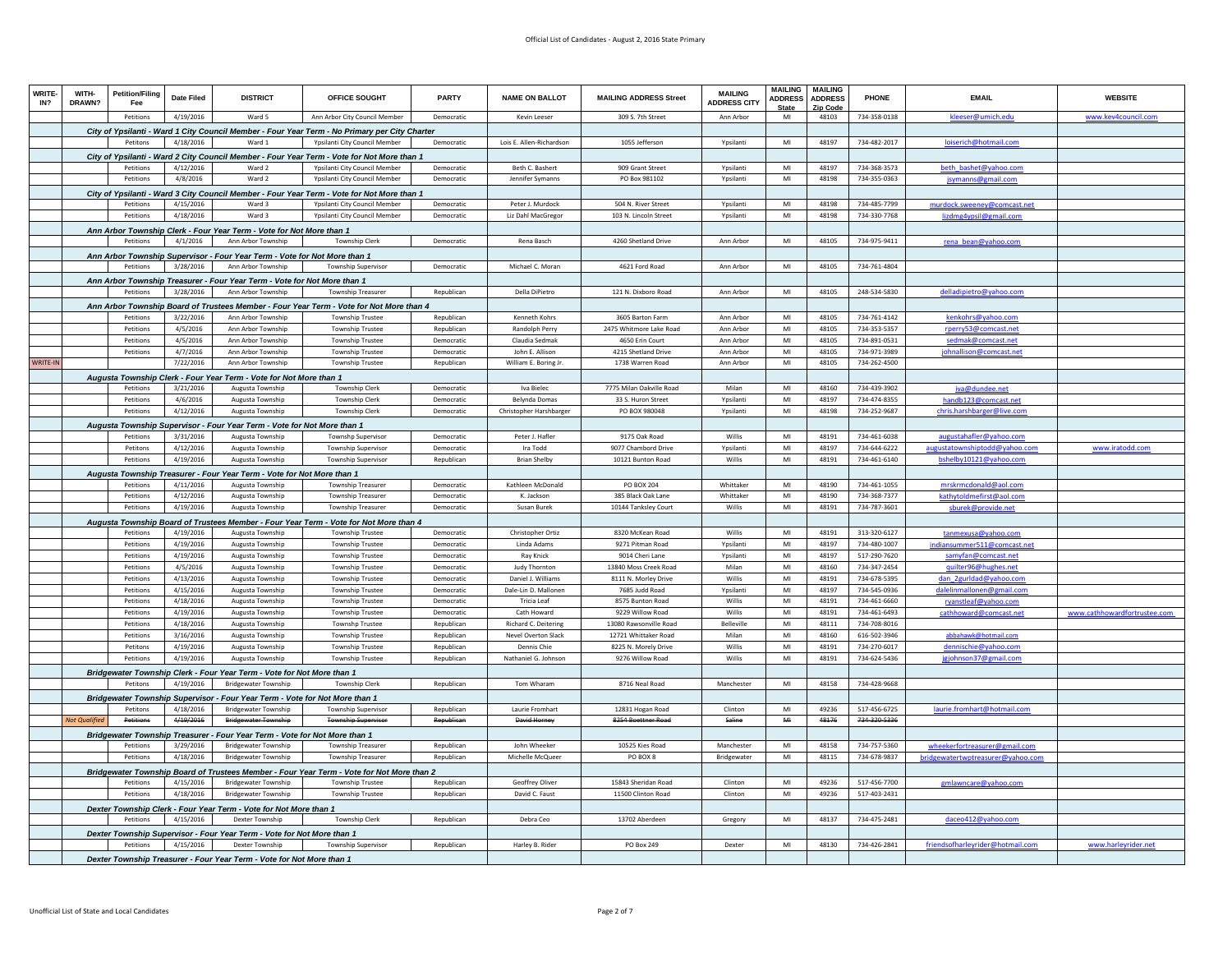| WRITE<br>IN?    | <b>WITH-</b><br>DRAWN? | <b>Petition/Filing</b><br>Fee | <b>Date Filed</b> | <b>DISTRICT</b>                                                                            | OFFICE SOUGHT                                                                                                        | PARTY      | <b>NAME ON BALLOT</b>      | <b>MAILING ADDRESS Street</b> | <b>MAILING</b><br><b>ADDRESS CITY</b> | <b>MAILING</b><br><b>ADDRESS</b><br><b>State</b> | <b>MAILING</b><br><b>ADDRESS</b><br>Zip Code | <b>PHONE</b> | <b>EMAIL</b>                                                 | <b>WEBSITE</b>               |
|-----------------|------------------------|-------------------------------|-------------------|--------------------------------------------------------------------------------------------|----------------------------------------------------------------------------------------------------------------------|------------|----------------------------|-------------------------------|---------------------------------------|--------------------------------------------------|----------------------------------------------|--------------|--------------------------------------------------------------|------------------------------|
|                 |                        | Petitions                     | 4/19/2016         | Ward 5                                                                                     | Ann Arbor City Council Member                                                                                        | Democratic | Kevin Leeser               | 309 S. 7th Street             | Ann Arbor                             | MI                                               | 48103                                        | 734-358-0138 | kleeser@umich.edu                                            | www.kev4council.com          |
|                 |                        |                               |                   |                                                                                            | City of Ypsilanti - Ward 1 City Council Member - Four Year Term - No Primary per City Charter                        |            |                            |                               |                                       |                                                  |                                              |              |                                                              |                              |
|                 |                        | Petitons                      | 4/18/2016         | Ward 1                                                                                     | Ypsilanti City Council Member                                                                                        | Democratic | Lois E. Allen-Richardson   | 1055 Jefferson                | Ypsilanti                             | $\mathsf{MI}$                                    | 48197                                        | 734-482-2017 | <u>loiserich@hotmail.com</u>                                 |                              |
|                 |                        |                               |                   |                                                                                            | City of Ypsilanti - Ward 2 City Council Member - Four Year Term - Vote for Not More than 1                           |            |                            |                               |                                       |                                                  |                                              |              |                                                              |                              |
|                 |                        | Petitions                     | 4/12/2016         | Ward 2                                                                                     | Yosilanti City Council Member                                                                                        | Democratic | Beth C. Bashert            | 909 Grant Street              | Ypsilanti                             | MI                                               | 48197                                        | 734-368-3573 | beth_bashet@yahoo.com                                        |                              |
|                 |                        | Petitions                     | 4/8/2016          | Ward 2                                                                                     | Ypsilanti City Council Member                                                                                        | Democratic | Jennifer Symanns           | PO Box 981102                 | Ypsilanti                             | MI                                               | 48198                                        | 734-355-0363 | jsymanns@gmail.com                                           |                              |
|                 |                        |                               |                   |                                                                                            | City of Ypsilanti - Ward 3 City Council Member - Four Year Term - Vote for Not More than 1                           |            |                            |                               |                                       |                                                  |                                              |              |                                                              |                              |
|                 |                        | Petitions                     | 4/15/2016         | Ward 3                                                                                     | Ypsilanti City Council Member                                                                                        | Democratic | Peter J. Murdock           | 504 N. River Street           | Ypsilanti                             | MI                                               | 48198                                        | 734-485-7799 |                                                              |                              |
|                 |                        | Petitions                     | 4/18/2016         | Ward 3                                                                                     | Ypsilanti City Council Member                                                                                        | Democratic | Liz Dahl MacGregor         | 103 N. Lincoln Street         | Ypsilanti                             | M <sub>l</sub>                                   | 48198                                        | 734-330-7768 | <u>murdock.sweeney@comcast.net</u><br>lizdmg4ypsil@gmail.com |                              |
|                 |                        |                               |                   |                                                                                            |                                                                                                                      |            |                            |                               |                                       |                                                  |                                              |              |                                                              |                              |
|                 |                        | Petitions                     | 4/1/2016          | Ann Arbor Township Clerk - Four Year Term - Vote for Not More than 1<br>Ann Arbor Township | <b>Township Clerk</b>                                                                                                | Democratic | <b>Rena Basch</b>          | 4260 Shetland Drive           | Ann Arbor                             | MI                                               | 48105                                        | 734-975-9411 |                                                              |                              |
|                 |                        |                               |                   |                                                                                            |                                                                                                                      |            |                            |                               |                                       |                                                  |                                              |              | rena_bean@yahoo.com                                          |                              |
|                 |                        |                               |                   | Ann Arbor Township Supervisor - Four Year Term - Vote for Not More than 1                  |                                                                                                                      |            |                            |                               |                                       |                                                  |                                              |              |                                                              |                              |
|                 |                        | Petitions                     | 3/28/2016         | Ann Arbor Township                                                                         | Township Supervisor                                                                                                  | Democratic | Michael C. Moran           | 4621 Ford Road                | Ann Arbor                             | MI                                               | 48105                                        | 734-761-4804 |                                                              |                              |
|                 |                        |                               |                   | Ann Arbor Township Treasurer - Four Year Term - Vote for Not More than 1                   |                                                                                                                      |            |                            |                               |                                       |                                                  |                                              |              |                                                              |                              |
|                 |                        | Petitions                     | 3/28/2016         | Ann Arbor Township                                                                         | <b>Township Treasurer</b>                                                                                            | Republican | Della DiPietro             | 121 N. Dixboro Road           | Ann Arbor                             | MI                                               | 48105                                        | 248-534-5830 | delladipietro@vahoo.com                                      |                              |
|                 |                        |                               |                   |                                                                                            | Ann Arbor Township Board of Trustees Member - Four Year Term - Vote for Not More than 4                              |            |                            |                               |                                       |                                                  |                                              |              |                                                              |                              |
|                 |                        | Petitions                     | 3/22/2016         | Ann Arbor Township                                                                         | <b>Township Trustee</b>                                                                                              | Republican | Kenneth Kohrs              | 3605 Barton Farm              | Ann Arhor                             | MI                                               | 48105                                        | 734-761-4142 | kenkohrs@vahoo.co                                            |                              |
|                 |                        | Petitions                     | 4/5/2016          | Ann Arbor Township                                                                         | <b>Township Trustee</b>                                                                                              | Republican | Randolph Perry             | 2475 Whitmore Lake Road       | Ann Arbor                             | M <sub>l</sub>                                   | 48105                                        | 734-353-5357 | rperry53@comcast.net                                         |                              |
|                 |                        | Petitions                     | 4/5/2016          | Ann Arbor Township                                                                         | <b>Township Trustee</b>                                                                                              | Democratic | Claudia Sedmak             | 4650 Erin Court               | Ann Arbor                             | MI                                               | 48105                                        | 734-891-0531 | sedmak@comcast.net                                           |                              |
|                 |                        | Petitions                     | 4/7/2016          | Ann Arbor Township                                                                         | <b>Township Trustee</b>                                                                                              | Democratic | John E. Allison            | 4215 Shetland Drive           | Ann Arbor                             | MI                                               | 48105                                        | 734-971-3989 | johnallison@comcast.net                                      |                              |
| <b>NRITE-II</b> |                        |                               | 7/22/2016         | Ann Arbor Township                                                                         | <b>Township Trustee</b>                                                                                              | Republican | William E. Boring Jr       | 1738 Warren Road              | Ann Arbor                             | MI                                               | 48105                                        | 734-262-4500 |                                                              |                              |
|                 |                        |                               |                   | Augusta Township Clerk - Four Year Term - Vote for Not More than 1                         |                                                                                                                      |            |                            |                               |                                       |                                                  |                                              |              |                                                              |                              |
|                 |                        | Petitions                     | 3/21/2016         | Augusta Township                                                                           | <b>Township Clerk</b>                                                                                                | Democratic | Iva Bielec                 | 7775 Milan Oakville Road      | Milan                                 | $\mathsf{MI}$                                    | 48160                                        | 734-439-3902 | iva@dundee.net                                               |                              |
|                 |                        | Petitions                     | 4/6/2016          | Augusta Township                                                                           | <b>Township Clerk</b>                                                                                                | Democratic | Belynda Domas              | 33 S. Huron Street            | Ypsilant                              | MI                                               | 48197                                        | 734-474-8355 | handb123@comcast.net                                         |                              |
|                 |                        | Petitions                     | 4/12/2016         | Augusta Township                                                                           | <b>Township Clerk</b>                                                                                                | Democratic | Christopher Harshbarger    | PO BOX 980048                 | Ypsilanti                             | M <sub>l</sub>                                   | 48198                                        | 734-252-9687 | chris.harshbarger@live.com                                   |                              |
|                 |                        |                               |                   | Augusta Township Supervisor - Four Year Term - Vote for Not More than 1                    |                                                                                                                      |            |                            |                               |                                       |                                                  |                                              |              |                                                              |                              |
|                 |                        | Petitions                     | 3/31/2016         | Augusta Township                                                                           | <b>Townsho Supervisor</b>                                                                                            | Democratic | Peter J. Hafler            | 9175 Oak Road                 | Willis                                | MI                                               | 48191                                        | 734-461-6038 | augustahafler@yahoo.com                                      |                              |
|                 |                        | Petitons                      | 4/12/2016         | Augusta Township                                                                           | Township Supervisor                                                                                                  | Democratic | Ira Todd                   | 9077 Chambord Drive           | Ypsilanti                             | MI                                               | 48197                                        | 734-644-6222 | ugustatownshiptodd@yahoo.com                                 | www.iratodd.com              |
|                 |                        | Petitions                     | 4/19/2016         | Augusta Township                                                                           | Township Supervisor                                                                                                  | Republican | <b>Brian Shelby</b>        | 10121 Bunton Road             | Willis                                | MI                                               | 48191                                        | 734-461-6140 | bshelby10121@yahoo.com                                       |                              |
|                 |                        |                               |                   | Augusta Township Treasurer - Four Year Term - Vote for Not More than 1                     |                                                                                                                      |            |                            |                               |                                       |                                                  |                                              |              |                                                              |                              |
|                 |                        | Petitions                     | 4/11/2016         | Augusta Township                                                                           | Township Treasurer                                                                                                   | Democratic | Kathleen McDonald          | PO BOX 204                    | Whittaker                             | MI                                               | 48190                                        | 734-461-1055 | mrskrmcdonald@aol.com                                        |                              |
|                 |                        | Petitions                     | 4/12/2016         | Augusta Township                                                                           | <b>Township Treasurer</b>                                                                                            | Democratic | K. Jackson                 | 385 Black Oak Lane            | Whittaker                             | MI                                               | 48190                                        | 734-368-7377 | kathytoldmefirst@aol.com                                     |                              |
|                 |                        | Petitions                     | 4/19/2016         | Augusta Township                                                                           | <b>Township Treasurer</b>                                                                                            | Democratic | Susan Burek                | 10144 Tanksley Court          | Willis                                | MI                                               | 48191                                        | 734-787-3601 | sburek@provide.net                                           |                              |
|                 |                        |                               |                   |                                                                                            | Augusta Township Board of Trustees Member - Four Year Term - Vote for Not More than 4                                |            |                            |                               |                                       |                                                  |                                              |              |                                                              |                              |
|                 |                        | Petitions                     | 4/19/2016         | Augusta Township                                                                           | <b>Township Trustee</b>                                                                                              | Democratic | <b>Christopher Ortiz</b>   | 8320 McKean Road              | Willis                                | MI                                               | 48191                                        | 313-320-6127 | tanmexusa@yahoo.com                                          |                              |
|                 |                        | Petitions                     | 4/19/2016         | Augusta Township                                                                           | <b>Township Trustee</b>                                                                                              | Democratic | Linda Adams                | 9271 Pitman Road              | Ypsilanti                             | MI                                               | 48197                                        | 734-480-1007 | indiansummer511@comcast.net                                  |                              |
|                 |                        | Petitions                     | 4/19/2016         | Augusta Township                                                                           | <b>Township Trustee</b>                                                                                              | Democratic | <b>Ray Knick</b>           | 9014 Cheri Lane               | Ypsilanti                             | MI                                               | 48197                                        | 517-290-7620 | samyfan@comcast.net                                          |                              |
|                 |                        | <b>Petitions</b>              | 4/5/2016          | Augusta Township                                                                           | <b>Township Trustee</b>                                                                                              | Democratic | Judy Thornton              | 13840 Moss Creek Road         | Milan                                 | MI                                               | 48160                                        | 734-347-2454 | quilter96@hughes.ne                                          |                              |
|                 |                        | Petitions                     | 4/13/2016         | Augusta Township                                                                           | <b>Township Trustee</b>                                                                                              | Democratic | Daniel J. Williams         | 8111 N. Morley Drive          | Willis                                | $\mathsf{MI}$                                    | 48191                                        | 734-678-5395 | dan_2gurldad@yahoo.com                                       |                              |
|                 |                        | Petitions                     | 4/15/2016         | Augusta Township                                                                           | <b>Township Trustee</b>                                                                                              | Democratic | Dale-Lin D. Mallonen       | 7685 Judd Road                | Ypsilanti                             | $\mathsf{M}\mathsf{I}$                           | 48197                                        | 734-545-0936 | dalelinmallonen@gmail.com                                    |                              |
|                 |                        | Petitions                     | 4/18/2016         | Augusta Township                                                                           | <b>Township Trustee</b>                                                                                              | Democratic | <b>Tricia Leaf</b>         | 8575 Bunton Road              | Willie                                | MI                                               | 48191                                        | 734-461-6660 | ryanstleaf@yahoo.com                                         |                              |
|                 |                        | Petitions                     | 4/19/2016         | Augusta Township                                                                           | <b>Township Trustee</b>                                                                                              | Democratic | Cath Howard                | 9229 Willow Road              | Willis                                | MI                                               | 48191                                        | 734-461-6493 | cathhoward@comcast.net                                       | www.cathhowardfortrustee.com |
|                 |                        | Petitions                     | 4/18/2016         | Augusta Township                                                                           | <b>Townsho Trustee</b>                                                                                               | Republican | Richard C. Deitering       | 13080 Rawsonville Road        | Belleville                            | MI                                               | 48111                                        | 734-708-8016 |                                                              |                              |
|                 |                        | Petitions                     | 3/16/2016         | Augusta Township                                                                           | <b>Township Trustee</b>                                                                                              | Republican | <b>Nevel Overton Slack</b> | 12721 Whittaker Road          | Milan                                 | MI                                               | 48160                                        | 616-502-3946 | abbahawk@hotmail.com                                         |                              |
|                 |                        | Petitons                      | 4/19/2016         | Augusta Township                                                                           | <b>Township Trustee</b>                                                                                              | Republican | Dennis Chie                | 8225 N. Morely Drive          | <b>Willis</b>                         | M <sub>l</sub>                                   | 48191                                        | 734-270-6017 | dennischie@yahoo.com                                         |                              |
|                 |                        | Petitions                     | 4/19/2016         | Augusta Township                                                                           | <b>Township Trustee</b>                                                                                              | Republican | Nathaniel G. Johnson       | 9276 Willow Road              | Willis                                | MI                                               | 48191                                        | 734-624-5436 | gjohnson37@gmail.com                                         |                              |
|                 |                        |                               |                   | Bridgewater Township Clerk - Four Year Term - Vote for Not More than 1                     |                                                                                                                      |            |                            |                               |                                       |                                                  |                                              |              |                                                              |                              |
|                 |                        | Petitons                      | 4/19/2016         | <b>Bridgewater Township</b>                                                                | <b>Township Clerk</b>                                                                                                | Republican | Tom Wharam                 | 8716 Neal Road                | Manchester                            | MI                                               | 48158                                        | 734-428-9668 |                                                              |                              |
|                 |                        |                               |                   | Bridgewater Township Supervisor - Four Year Term - Vote for Not More than 1                |                                                                                                                      |            |                            |                               |                                       |                                                  |                                              |              |                                                              |                              |
|                 |                        | Petitons                      | 4/18/2016         | <b>Bridgewater Township</b>                                                                | Township Supervisor                                                                                                  | Republican | Laurie Fromhart            | 12831 Hogan Road              | Clinton                               | MI                                               | 49236                                        | 517-456-6725 | laurie.fromhart@hotmail.com                                  |                              |
|                 | lot Qualified          | Petitions                     | 4/19/2016         | <b>Bridgewater Township</b>                                                                | <b>Township Supervisor</b>                                                                                           | Republican | David Horney               | 8254 Boettner Road            | Saline                                | MH                                               | 48176                                        | 734-320-5336 |                                                              |                              |
|                 |                        |                               |                   | Bridgewater Township Treasurer - Four Year Term - Vote for Not More than 1                 |                                                                                                                      |            |                            |                               |                                       |                                                  |                                              |              |                                                              |                              |
|                 |                        | Petitions                     | 3/29/2016         | <b>Bridgewater Township</b>                                                                | Township Treasurer                                                                                                   | Republican | John Wheeker               | 10525 Kies Road               | Manchester                            | MI                                               | 48158                                        | 734-757-5360 | wheekerfortreasurer@gmail.com                                |                              |
|                 |                        | Petitions                     | 4/18/2016         | <b>Bridgewater Township</b>                                                                | <b>Township Treasurer</b>                                                                                            | Republican | Michelle McQueer           | PO BOX 8                      | Bridgewater                           | $\mathsf{MI}$                                    | 48115                                        | 734-678-9837 | bridgewatertwptreasurer@yahoo.com                            |                              |
|                 |                        |                               |                   |                                                                                            |                                                                                                                      |            |                            |                               |                                       |                                                  |                                              |              |                                                              |                              |
|                 |                        | Petitions                     | 4/15/2016         | <b>Bridgewater Township</b>                                                                | Bridgewater Township Board of Trustees Member - Four Year Term - Vote for Not More than 2<br><b>Township Trustee</b> | Republican | Geoffrey Oliver            | 15843 Sheridan Road           | Clinton                               | MI                                               | 49236                                        | 517-456-7700 |                                                              |                              |
|                 |                        | Petitions                     | 4/18/2016         | <b>Bridgewater Township</b>                                                                | <b>Township Trustee</b>                                                                                              | Republican | David C. Faust             | 11500 Clinton Road            | Clinton                               | MI                                               | 49236                                        | 517-403-2431 | gmlawncare@yahoo.com                                         |                              |
|                 |                        |                               |                   |                                                                                            |                                                                                                                      |            |                            |                               |                                       |                                                  |                                              |              |                                                              |                              |
|                 |                        |                               |                   | Dexter Township Clerk - Four Year Term - Vote for Not More than 1                          |                                                                                                                      |            |                            |                               |                                       |                                                  |                                              |              |                                                              |                              |
|                 |                        | Petitions                     | 4/15/2016         | Dexter Township                                                                            | <b>Township Clerk</b>                                                                                                | Republican | Debra Ceo                  | 13702 Aberdeen                | Gregory                               | MI                                               | 48137                                        | 734-475-2481 | daceo412@yahoo.com                                           |                              |
|                 |                        |                               |                   | Dexter Township Supervisor - Four Year Term - Vote for Not More than 1                     |                                                                                                                      |            |                            |                               |                                       |                                                  |                                              |              |                                                              |                              |
|                 |                        | Petitions                     | 4/15/2016         | Dexter Township                                                                            | Township Supervisor                                                                                                  | Republican | Harley B. Rider            | <b>PO Box 249</b>             | Dexter                                | MI                                               | 48130                                        | 734-426-2841 | friendsofharleyrider@hotmail.com                             | www.harleyrider.net          |
|                 |                        |                               |                   | Dexter Township Treasurer - Four Year Term - Vote for Not More than 1                      |                                                                                                                      |            |                            |                               |                                       |                                                  |                                              |              |                                                              |                              |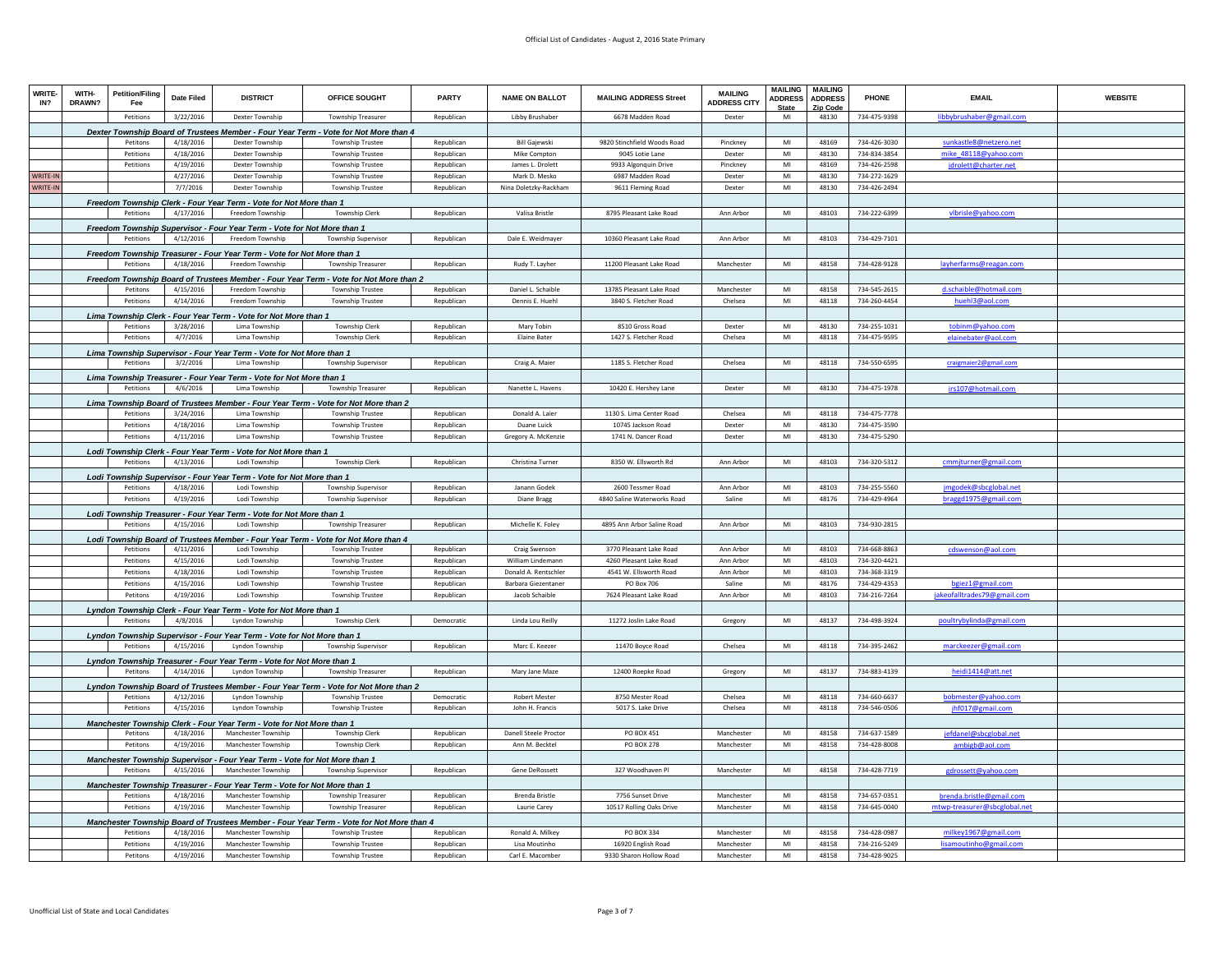| <b>WRITE</b><br>IN? | WITH-<br>DRAWN? | <b>Petition/Filing</b><br>Fee | <b>Date Filed</b> | <b>DISTRICT</b>                                                            | OFFICE SOUGHT                                                                            | <b>PARTY</b> | <b>NAME ON BALLOT</b>        | <b>MAILING ADDRESS Street</b> | <b>MAILING</b><br><b>ADDRESS CITY</b> | <b>MAILING</b><br><b>ADDRESS</b><br><b>State</b> | <b>MAILING</b><br><b>ADDRESS</b><br>Zip Code | PHONE        | <b>EMAIL</b>                     | <b>WEBSITE</b> |
|---------------------|-----------------|-------------------------------|-------------------|----------------------------------------------------------------------------|------------------------------------------------------------------------------------------|--------------|------------------------------|-------------------------------|---------------------------------------|--------------------------------------------------|----------------------------------------------|--------------|----------------------------------|----------------|
|                     |                 | Petitions                     | 3/22/2016         | Dexter Township                                                            | Township Treasurer                                                                       | Republican   | Libby Brushaber              | 6678 Madden Road              | Dexter                                | MI                                               | 48130                                        | 734-475-9398 | libbybrushaber@gmail.com         |                |
|                     |                 |                               |                   |                                                                            | Dexter Township Board of Trustees Member - Four Year Term - Vote for Not More than 4     |              |                              |                               |                                       |                                                  |                                              |              |                                  |                |
|                     |                 | Petitons                      | 4/18/2016         | <b>Dexter Township</b>                                                     | <b>Township Trustee</b>                                                                  | Republican   | <b>Bill Gaiewski</b>         | 9820 Stinchfield Woods Road   | Pinckney                              | MI                                               | 48169                                        | 734-426-3030 | sunkastle8@netzero.net           |                |
|                     |                 | Petitions                     | 4/18/2016         | Dexter Township                                                            | <b>Township Trustee</b>                                                                  | Republican   | Mike Compton                 | 9045 Lotie Lane               | Dexter                                | MI                                               | 48130                                        | 734-834-3854 | mike 48118@yahoo.com             |                |
|                     |                 | Petitions                     | 4/19/2016         | Dexter Township                                                            | <b>Township Trustee</b>                                                                  | Republican   | James L. Drolett             | 9933 Algonquin Drive          | Pinckney                              | MI                                               | 48169                                        | 734-426-2598 | drolett@charter.net              |                |
| WRITE-II            |                 |                               | 4/27/2016         | <b>Dexter Township</b>                                                     | <b>Township Trustee</b>                                                                  | Republican   | Mark D. Mesko                | 6987 Madden Road              | Dexter                                | MI                                               | 48130                                        | 734-272-1629 |                                  |                |
| <b>NRITE-IN</b>     |                 |                               | 7/7/2016          | Dexter Township                                                            | <b>Township Trustee</b>                                                                  | Republican   | Nina Doletzky-Rackham        | 9611 Fleming Road             | Dexter                                | MI                                               | 48130                                        | 734-426-2494 |                                  |                |
|                     |                 |                               |                   | Freedom Township Clerk - Four Year Term - Vote for Not More than 1         |                                                                                          |              |                              |                               |                                       |                                                  |                                              |              |                                  |                |
|                     |                 | Petitions                     | 4/17/2016         | Freedom Township                                                           | Township Clerk                                                                           | Republican   | Valisa Bristle               | 8795 Pleasant Lake Road       | Ann Arbor                             | MI                                               | 48103                                        | 734-222-6399 | vlbrisle@yahoo.com               |                |
|                     |                 |                               |                   | Freedom Township Supervisor - Four Year Term - Vote for Not More than 1    |                                                                                          |              |                              |                               |                                       |                                                  |                                              |              |                                  |                |
|                     |                 | Petitions                     | 4/12/2016         | Freedom Township                                                           | Township Supervisor                                                                      | Republican   | Dale E. Weidmayer            | 10360 Pleasant Lake Road      | Ann Arbor                             | MI                                               | 48103                                        | 734-429-7101 |                                  |                |
|                     |                 |                               |                   | Freedom Township Treasurer - Four Year Term - Vote for Not More than 1     |                                                                                          |              |                              |                               |                                       |                                                  |                                              |              |                                  |                |
|                     |                 | Petitions                     | 4/18/2016         | Freedom Township                                                           | <b>Township Treasurer</b>                                                                | Republican   | Rudy T. Layher               | 11200 Pleasant Lake Road      | Manchester                            | MI                                               | 48158                                        | 734-428-9128 | layherfarms@reagan.com           |                |
|                     |                 |                               |                   |                                                                            | Freedom Township Board of Trustees Member - Four Year Term - Vote for Not More than 2    |              |                              |                               |                                       |                                                  |                                              |              |                                  |                |
|                     |                 | Petitons                      | 4/15/2016         | Freedom Township                                                           | <b>Township Trustee</b>                                                                  | Republican   | Daniel L. Schaible           | 13785 Pleasant Lake Road      | Manchester                            | MI                                               | 48158                                        | 734-545-2615 | d.schaible@hotmail.com           |                |
|                     |                 | Petitions                     | 4/14/2016         | Freedom Township                                                           | <b>Township Trustee</b>                                                                  | Republican   | Dennis E. Huehl              | 3840 S. Fletcher Road         | Chelsea                               | MI                                               | 48118                                        | 734-260-4454 | huehl3@aol.com                   |                |
|                     |                 |                               |                   | Lima Township Clerk - Four Year Term - Vote for Not More than 1            |                                                                                          |              |                              |                               |                                       |                                                  |                                              |              |                                  |                |
|                     |                 | Petitions                     | 3/28/2016         | Lima Township                                                              | <b>Township Clerk</b>                                                                    | Republican   | Mary Tobin                   | 8510 Gross Road               | Dexter                                | MI                                               | 48130                                        | 734-255-1031 | tobinm@vahoo.cc                  |                |
|                     |                 | Petitions                     | 4/7/2016          | Lima Township                                                              | <b>Township Clerk</b>                                                                    | Republican   | <b>Elaine Bater</b>          | 1427 S. Fletcher Road         | Chelsea                               | MI                                               | 48118                                        | 734-475-9595 | elainebater@aol.com              |                |
|                     |                 |                               |                   | Lima Township Supervisor - Four Year Term - Vote for Not More than 1       |                                                                                          |              |                              |                               |                                       |                                                  |                                              |              |                                  |                |
|                     |                 | Petitions                     | 3/2/2016          | Lima Township                                                              | <b>Township Supervisor</b>                                                               | Republican   | Craig A. Maier               | 1185 S. Fletcher Road         | Chelsea                               | MI                                               | 48118                                        | 734-550-6595 | craigmaier2@gmail.com            |                |
|                     |                 |                               |                   | Lima Township Treasurer - Four Year Term - Vote for Not More than 1        |                                                                                          |              |                              |                               |                                       |                                                  |                                              |              |                                  |                |
|                     |                 | Petitions                     | 4/6/2016          | Lima Township                                                              | <b>Township Treasurer</b>                                                                | Republican   | Nanette L. Havens            | 10420 E. Hershey Lane         | Dexter                                | MI                                               | 48130                                        | 734-475-1978 | irs107@hotmail.com               |                |
|                     |                 |                               |                   |                                                                            | Lima Township Board of Trustees Member - Four Year Term - Vote for Not More than 2       |              |                              |                               |                                       |                                                  |                                              |              |                                  |                |
|                     |                 | Petitions                     | 3/24/2016         | Lima Township                                                              | <b>Township Trustee</b>                                                                  | Republican   | Donald A. Laier              | 1130 S. Lima Center Road      | Chelsea                               | MI                                               | 48118                                        | 734-475-7778 |                                  |                |
|                     |                 | Petitions                     | 4/18/2016         | Lima Township                                                              | <b>Township Trustee</b>                                                                  | Republican   | Duane Luick                  | 10745 Jackson Road            | Dexter                                | MI                                               | 48130                                        | 734-475-3590 |                                  |                |
|                     |                 | Petitions                     | 4/11/2016         | Lima Township                                                              | Township Trustee                                                                         | Republican   | Gregory A. McKenzie          | 1741 N. Dancer Road           | Dexter                                | MI                                               | 48130                                        | 734-475-5290 |                                  |                |
|                     |                 |                               |                   | Lodi Township Clerk - Four Year Term - Vote for Not More than 1            |                                                                                          |              |                              |                               |                                       |                                                  |                                              |              |                                  |                |
|                     |                 | Petitions                     | 4/13/2016         | Lodi Township                                                              | Township Clerk                                                                           | Republican   | Christina Turner             | 8350 W. Ellsworth Rd          | Ann Arbor                             | MI                                               | 48103                                        | 734-320-5312 | cmmjturner@gmail.com             |                |
|                     |                 |                               |                   | Lodi Township Supervisor - Four Year Term - Vote for Not More than 1       |                                                                                          |              |                              |                               |                                       |                                                  |                                              |              |                                  |                |
|                     |                 | Petitions                     | 4/18/2016         | Lodi Township                                                              | <b>Township Supervisor</b>                                                               | Republican   | Janann Godek                 | 2600 Tessmer Road             | Ann Arhor                             | MI                                               | 48103                                        | 734-255-5560 | imgodek@sbcglobal.net            |                |
|                     |                 | Petitions                     | 4/19/2016         | Lodi Township                                                              | Township Supervisor                                                                      | Republican   | Diane Bragg                  | 4840 Saline Waterworks Road   | Saline                                | MI                                               | 48176                                        | 734-429-4964 | braggd1975@gmail.com             |                |
|                     |                 |                               |                   | Lodi Township Treasurer - Four Year Term - Vote for Not More than 1        |                                                                                          |              |                              |                               |                                       |                                                  |                                              |              |                                  |                |
|                     |                 | Petitions                     | 4/15/2016         | Lodi Township                                                              | <b>Township Treasurer</b>                                                                | Republican   | Michelle K. Foley            | 4895 Ann Arbor Saline Road    | Ann Arbor                             | MI                                               | 48103                                        | 734-930-2815 |                                  |                |
|                     |                 |                               |                   |                                                                            | Lodi Township Board of Trustees Member - Four Year Term - Vote for Not More than 4       |              |                              |                               |                                       |                                                  |                                              |              |                                  |                |
|                     |                 | Petitions                     | 4/11/2016         | Lodi Township                                                              | Township Trustee                                                                         | Republican   | Craig Swenson                | 3770 Pleasant Lake Road       | Ann Arbor                             | MI                                               | 48103                                        | 734-668-8863 | cdswenson@aol.com                |                |
|                     |                 | Petitions                     | 4/15/2016         | Lodi Township                                                              | <b>Township Trustee</b>                                                                  | Republican   | William Lindemann            | 4260 Pleasant Lake Road       | Ann Arbor                             | MI                                               | 48103                                        | 734-320-4421 |                                  |                |
|                     |                 | Petitions                     | 4/18/2016         | Lodi Township                                                              | <b>Township Trustee</b>                                                                  | Republican   | Donald A. Rentschler         | 4541 W. Ellsworth Road        | Ann Arbor                             | MI                                               | 48103                                        | 734-368-3319 |                                  |                |
|                     |                 | Petitions                     | 4/15/2016         | Lodi Township                                                              | <b>Township Trustee</b>                                                                  | Republican   | Barbara Giezentaner          | PO Box 706                    | Saline                                | MI                                               | 48176                                        | 734-429-4353 | bgiez1@gmail.com                 |                |
|                     |                 | Petitons                      | 4/19/2016         | Lodi Township                                                              | Township Trustee                                                                         | Republican   | Jacob Schaible               | 7624 Pleasant Lake Road       | Ann Arbor                             | MI                                               | 48103                                        | 734-216-7264 | jake of all trades 79@ gmail.com |                |
|                     |                 |                               |                   | Lyndon Township Clerk - Four Year Term - Vote for Not More than 1          |                                                                                          |              |                              |                               |                                       |                                                  |                                              |              |                                  |                |
|                     |                 | Petitions                     | 4/8/2016          | Lyndon Township                                                            | <b>Township Clerk</b>                                                                    | Democratic   | Linda Lou Reilly             | 11272 Joslin Lake Road        | Gregory                               | MI                                               | 48137                                        | 734-498-3924 | poultrybylinda@gmail.com         |                |
|                     |                 |                               |                   | Lyndon Township Supervisor - Four Year Term - Vote for Not More than 1     |                                                                                          |              |                              |                               |                                       |                                                  |                                              |              |                                  |                |
|                     |                 | Petitions                     | 4/15/2016         | Lyndon Township                                                            | <b>Township Supervisor</b>                                                               | Republican   | Marc E. Keezer               | 11470 Boyce Road              | Chelsea                               | MI                                               | 48118                                        | 734-395-2462 | marckeezer@gmail.com             |                |
|                     |                 |                               |                   | Lyndon Township Treasurer - Four Year Term - Vote for Not More than 1      |                                                                                          |              |                              |                               |                                       |                                                  |                                              |              |                                  |                |
|                     |                 | Petitons                      | 4/14/2016         | Lyndon Township                                                            | <b>Township Treasurer</b>                                                                | Republican   | Mary Jane Maze               | 12400 Roepke Road             | Gregory                               | MI                                               | 48137                                        | 734-883-4139 | heidi1414@att.net                |                |
|                     |                 |                               |                   |                                                                            | Lyndon Township Board of Trustees Member - Four Year Term - Vote for Not More than 2     |              |                              |                               |                                       |                                                  |                                              |              |                                  |                |
|                     |                 | Petitions                     | 4/12/2016         | Lyndon Township                                                            | <b>Township Trustee</b>                                                                  | Democratic   | <b>Robert Mester</b>         | 8750 Mester Road              | Chelsea                               | MI                                               | 48118                                        | 734-660-6637 | bobmester@yahoo.com              |                |
|                     |                 | Petitions                     | 4/15/2016         | Lyndon Township                                                            | <b>Township Trustee</b>                                                                  | Republican   | John H. Francis              | 5017 S. Lake Drive            | Chelsea                               | $\mathsf{MI}$                                    | 48118                                        | 734-546-0506 | jhf017@gmail.com                 |                |
|                     |                 |                               |                   | Manchester Township Clerk - Four Year Term - Vote for Not More than 1      |                                                                                          |              |                              |                               |                                       |                                                  |                                              |              |                                  |                |
|                     |                 | Petitons                      | 4/18/2016         | Manchester Township                                                        | <b>Township Clerk</b>                                                                    | Republican   | <b>Danell Steele Proctor</b> | PO BOX 451                    | Manchester                            | MI                                               | 48158                                        | 734-637-1589 | jefdanel@sbcglobal.net           |                |
|                     |                 | Petitons                      | 4/19/2016         | Manchester Township                                                        | Township Clerk                                                                           | Republican   | Ann M. Becktel               | PO BOX 278                    | Manchester                            | MI                                               | 48158                                        | 734-428-8008 | ambigb@aol.com                   |                |
|                     |                 |                               |                   | Manchester Township Supervisor - Four Year Term - Vote for Not More than 1 |                                                                                          |              |                              |                               |                                       |                                                  |                                              |              |                                  |                |
|                     |                 | Petitions                     | 4/15/2016         | Manchester Township                                                        | Township Supervisor                                                                      | Republican   | Gene DeRossett               | 327 Woodhaven Pl              | Manchester                            | MI                                               | 48158                                        | 734-428-7719 | gdrossett@yahoo.com              |                |
|                     |                 |                               |                   | Manchester Township Treasurer - Four Year Term - Vote for Not More than 1  |                                                                                          |              |                              |                               |                                       |                                                  |                                              |              |                                  |                |
|                     |                 | Petitions                     | 4/18/2016         | Manchester Township                                                        | <b>Township Treasurer</b>                                                                | Republican   | <b>Brenda Bristle</b>        | 7756 Sunset Drive             | Manchester                            | MI                                               | 48158                                        | 734-657-0351 | brenda.bristle@gmail.com         |                |
|                     |                 | Petitions                     | 4/19/2016         | Manchester Township                                                        | <b>Township Treasurer</b>                                                                | Republican   | Laurie Carey                 | 10517 Rolling Oaks Drive      | Manchester                            | MI                                               | 48158                                        | 734-645-0040 | mtwp-treasurer@sbcglobal.net     |                |
|                     |                 |                               |                   |                                                                            | Manchester Township Board of Trustees Member - Four Year Term - Vote for Not More than 4 |              |                              |                               |                                       |                                                  |                                              |              |                                  |                |
|                     |                 | Petitions                     | 4/18/2016         | Manchester Township                                                        | <b>Township Trustee</b>                                                                  | Republican   | Ronald A. Milkey             | PO BOX 334                    | Manchester                            | MI                                               | 48158                                        | 734-428-0987 | milkey1967@gmail.com             |                |
|                     |                 | Petitions                     | 4/19/2016         | Manchester Township                                                        | Township Trustee                                                                         | Republican   | Lisa Moutinho                | 16920 English Road            | Manchester                            | MI                                               | 48158                                        | 734-216-5249 | lisamoutinho@gmail.com           |                |
|                     |                 | Petitons                      | 4/19/2016         | Manchester Township                                                        | <b>Township Trustee</b>                                                                  | Republican   | Carl E. Macomber             | 9330 Sharon Hollow Road       | Manchester                            | MI                                               | 48158                                        | 734-428-9025 |                                  |                |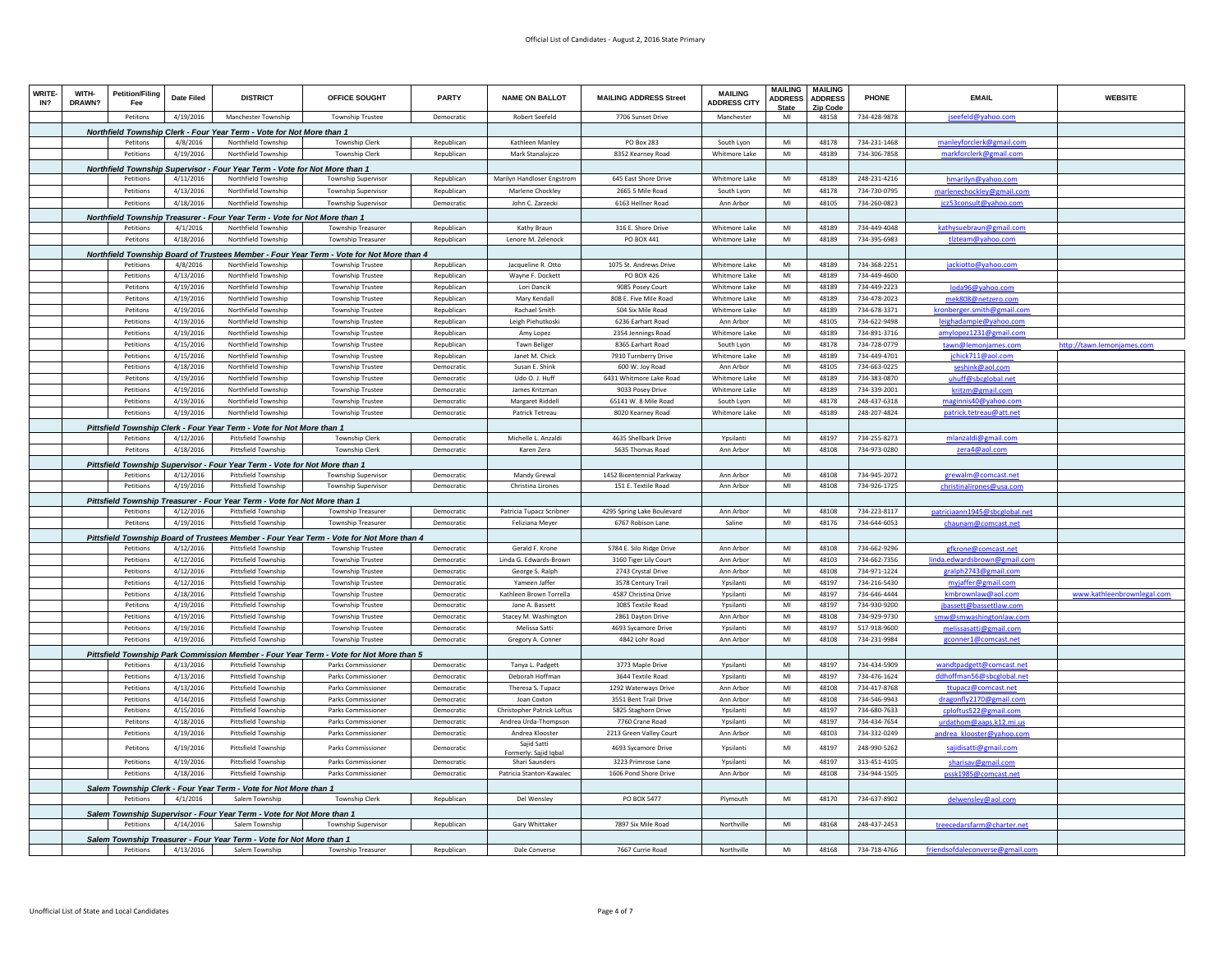| <b>WRITE</b><br>IN? | WITH-<br>DRAWN? | <b>Petition/Filing</b><br>Fee | Date Filed             | <b>DISTRICT</b>                                                                         | OFFICE SOUGHT                                                                                                | <b>PARTY</b>             | <b>NAME ON BALLOT</b>                  | <b>MAILING ADDRESS Street</b>           | <b>MAILING</b><br><b>ADDRESS CITY</b> | <b>MAILING</b><br><b>ADDRESS</b><br><b>State</b> | <b>MAILING</b><br><b>ADDRESS</b><br>Zip Code | PHONE                        | <b>EMAIL</b>                                          | <b>WEBSITE</b>             |
|---------------------|-----------------|-------------------------------|------------------------|-----------------------------------------------------------------------------------------|--------------------------------------------------------------------------------------------------------------|--------------------------|----------------------------------------|-----------------------------------------|---------------------------------------|--------------------------------------------------|----------------------------------------------|------------------------------|-------------------------------------------------------|----------------------------|
|                     |                 | Petitons                      | 4/19/2016              | Manchester Township                                                                     | <b>Township Trustee</b>                                                                                      | Democratic               | <b>Robert Seefeld</b>                  | 7706 Sunset Drive                       | Manchester                            | MI                                               | 48158                                        | 734-428-9878                 | seefeld@yahoo.com                                     |                            |
|                     |                 |                               |                        | Northfield Township Clerk - Four Year Term - Vote for Not More than 1                   |                                                                                                              |                          |                                        |                                         |                                       |                                                  |                                              |                              |                                                       |                            |
|                     |                 | Petitons                      | 4/8/2016               | Northfield Township                                                                     | Township Clerk                                                                                               | Republican               | Kathleen Manley                        | PO Box 283                              | South Lyon                            | MI                                               | 48178                                        | 734-231-1468                 | manleyforclerk@gmail.com                              |                            |
|                     |                 | Petitions                     | 4/19/2016              | Northfield Township                                                                     | <b>Township Clerk</b>                                                                                        | Republican               | Mark Stanalaiczo                       | 8352 Kearney Road                       | Whitmore Lake                         | MI                                               | 48189                                        | 734-306-7858                 | markforclerk@gmail.com                                |                            |
|                     |                 |                               |                        | Northfield Township Supervisor - Four Year Term - Vote for Not More than 1              |                                                                                                              |                          |                                        |                                         |                                       |                                                  |                                              |                              |                                                       |                            |
|                     |                 | Petitions                     | 4/11/2016              | Northfield Township                                                                     | Township Superviso                                                                                           | Republican               | Marilyn Handloser Engstron             | 645 East Shore Drive                    | <b>Whitmore Lake</b>                  | MI                                               | 48189                                        | 248-231-4216                 | hmarilyn@vahoo.com                                    |                            |
|                     |                 | Petitions                     | 4/13/2016              | Northfield Township                                                                     | Township Supervisor                                                                                          | Republican               | Marlene Chockley                       | 2665 5 Mile Road                        | South Lyon                            | MI                                               | 48178                                        | 734-730-0795                 | marlenechockley@gmail.com                             |                            |
|                     |                 | Petitions                     | 4/18/2016              | Northfield Township                                                                     | Township Supervisor                                                                                          | Democratic               | John C. Zarzecki                       | 6163 Hellner Road                       | Ann Arbor                             | MI                                               | 48105                                        | 734-260-0823                 | jcz53consult@yahoo.com                                |                            |
|                     |                 |                               |                        | Northfield Township Treasurer - Four Year Term - Vote for Not More than 1               |                                                                                                              |                          |                                        |                                         |                                       |                                                  |                                              |                              |                                                       |                            |
|                     |                 | Petitions                     | 4/1/2016               | Northfield Township                                                                     | <b>Township Treasurer</b>                                                                                    | Republican               | Kathy Braun                            | 316 E. Shore Drive                      | Whitmore Lake                         | MI                                               | 48189                                        | 734-449-4048                 | kathysuebraun@gmail.com                               |                            |
|                     |                 | Petitons                      | 4/18/2016              | Northfield Township                                                                     | <b>Township Treasurer</b>                                                                                    | Republican               | Lenore M. Zelenock                     | PO BOX 441                              | Whitmore Lake                         | M <sub>l</sub>                                   | 48189                                        | 734-395-6983                 | tlzteam@yahoo.com                                     |                            |
|                     |                 |                               |                        |                                                                                         | Northfield Township Board of Trustees Member - Four Year Term - Vote for Not More than 4                     |                          |                                        |                                         |                                       |                                                  |                                              |                              |                                                       |                            |
|                     |                 | Petitions                     | 4/8/2016               | Northfield Township                                                                     | <b>Township Trustee</b>                                                                                      | Republican               | Jacqueline R. Otto                     | 1075 St. Andrews Drive                  | Whitmore Lake                         | MI                                               | 48189                                        | 734-368-2251                 | jackiotto@yahoo.com                                   |                            |
|                     |                 | Petitions                     | 4/13/2016              | Northfield Township                                                                     | <b>Township Trustee</b>                                                                                      | Republican               | Wayne F. Dockett                       | PO BOX 426                              | <b>Whitmore Lake</b>                  | $\mathsf{MI}$                                    | 48189                                        | 734-449-4600                 |                                                       |                            |
|                     |                 | Petitons                      | 4/19/2016              | Northfield Township                                                                     | <b>Township Trustee</b>                                                                                      | Republican               | Lori Dancik                            | 9085 Posey Court                        | Whitmore Lake                         | MI                                               | 48189                                        | 734-449-2223                 | loda96@yahoo.com                                      |                            |
|                     |                 | Petitons                      | 4/19/2016              | Northfield Township                                                                     | <b>Township Trustee</b>                                                                                      | Republican               | Mary Kendall                           | 808 E. Five Mile Road                   | Whitmore Lake                         | MI                                               | 48189                                        | 734-478-2023                 | mek808@netzero.com                                    |                            |
|                     |                 | Petitons                      | 4/19/2016              | Northfield Township                                                                     | <b>Township Trustee</b>                                                                                      | Republican               | <b>Rachael Smith</b>                   | 504 Six Mile Road                       | Whitmore Lake                         | MI                                               | 48189                                        | 734-678-3371                 | kronberger.smith@gmail.com                            |                            |
|                     |                 | Petitions                     | 4/19/2016              | Northfield Township                                                                     | <b>Township Trustee</b>                                                                                      | Republican               | Leigh Piehutkoski                      | 6236 Earhart Road                       | Ann Arbor                             | MI<br>MI                                         | 48105                                        | 734-622-9498                 | leighadampie@yahoo.com                                |                            |
|                     |                 | Petitions<br>Petitions        | 4/19/2016<br>4/15/2016 | Northfield Township<br>Northfield Township                                              | <b>Township Trustee</b><br><b>Township Trustee</b>                                                           | Republican<br>Republican | Amy Lopez<br><b>Tawn Beliger</b>       | 2354 Jennings Road<br>8365 Earhart Road | <b>Whitmore Lake</b><br>South Lvon    | MI                                               | 48189<br>48178                               | 734-891-3716<br>734-728-0779 | amylopez1231@gmail.com<br>tawn@lemoniames.com         | http://tawn.lemoniames.com |
|                     |                 | Petition                      | 4/15/2016              | Northfield Township                                                                     | <b>Township Trustee</b>                                                                                      | Republican               | Janet M. Chick                         | 7910 Turnberry Drive                    | Whitmore Lake                         | MI                                               | 48189                                        | 734-449-4701                 | ichick711@aol.com                                     |                            |
|                     |                 | Petitions                     | 4/18/2016              | Northfield Township                                                                     | <b>Township Trustee</b>                                                                                      | Democratic               | Susan E. Shink                         | 600 W. Joy Road                         | Ann Arbor                             | MI                                               | 48105                                        | 734-663-0225                 | seshink@aol.com                                       |                            |
|                     |                 | Petitons                      | 4/19/2016              | Northfield Township                                                                     | <b>Township Trustee</b>                                                                                      | Democratio               | Udo O. J. Huff                         | 6431 Whitmore Lake Road                 | Whitmore Lake                         | MI                                               | 48189                                        | 734-383-0870                 | uhuff@sbcglobal.net                                   |                            |
|                     |                 | Petitions                     | 4/19/2016              | Northfield Township                                                                     | Township Trustee                                                                                             | Democratic               | James Kritzmar                         | 9033 Posey Drive                        | <b>Whitmore Lake</b>                  | MI                                               | 48189                                        | 734-339-2001                 | kritzm@gmail.con                                      |                            |
|                     |                 | Petitions                     | 4/19/2016              | Northfield Township                                                                     | <b>Township Trustee</b>                                                                                      | Democratic               | Margaret Riddell                       | 65141 W. 8 Mile Road                    | South Lyon                            | MI                                               | 48178                                        | 248-437-6318                 | maginnis40@vahoo.co                                   |                            |
|                     |                 | Petitions                     | 4/19/2016              | Northfield Township                                                                     | Township Trustee                                                                                             | Democratic               | Patrick Tetreau                        | 8020 Kearney Road                       | Whitmore Lake                         | MI                                               | 48189                                        | 248-207-4824                 | patrick.tetreau@att.net                               |                            |
|                     |                 |                               |                        | Pittsfield Township Clerk - Four Year Term - Vote for Not More than 1                   |                                                                                                              |                          |                                        |                                         |                                       |                                                  |                                              |                              |                                                       |                            |
|                     |                 | Petitions                     | 4/12/2016              | Pittsfield Township                                                                     | Township Clerk                                                                                               | Democratic               | Michelle L. Anzaldi                    | 4635 Shellbark Drive                    | Ypsilanti                             | MI                                               | 48197                                        | 734-255-8273                 | mlanzaldi@gmail.com                                   |                            |
|                     |                 | Petitons                      | 4/18/2016              | <b>Pittsfield Township</b>                                                              | <b>Township Clerk</b>                                                                                        | Democratic               | Karen Zera                             | 5635 Thomas Road                        | Ann Arbor                             | MI                                               | 48108                                        | 734-973-0280                 | zera4@aol.com                                         |                            |
|                     |                 |                               |                        | Pittsfield Township Supervisor - Four Year Term - Vote for Not More than 1              |                                                                                                              |                          |                                        |                                         |                                       |                                                  |                                              |                              |                                                       |                            |
|                     |                 | Petitions                     | 4/12/2016              | Pittsfield Township                                                                     | <b>Township Supervisor</b>                                                                                   | Democratic               | Mandy Grewal                           | 1452 Bicentennial Parkway               | Ann Arbor                             | MI                                               | 48108                                        | 734-945-2072                 | grewalm@comcast.net                                   |                            |
|                     |                 | Petitions                     | 4/19/2016              | Pittsfield Township                                                                     | Township Superviso                                                                                           | Democratic               | Christina Lirones                      | 151 E. Textile Road                     | Ann Arbor                             | MI                                               | 48108                                        | 734-926-1725                 | christinalirones@usa.com                              |                            |
|                     |                 |                               |                        | Pittsfield Township Treasurer - Four Year Term - Vote for Not More than 1               |                                                                                                              |                          |                                        |                                         |                                       |                                                  |                                              |                              |                                                       |                            |
|                     |                 | Petitions                     | 4/12/2016              | Pittsfield Township                                                                     | <b>Township Treasurer</b>                                                                                    | Democratic               | Patricia Tupacz Scribner               | 4295 Spring Lake Boulevard              | Ann Arbor                             | MI                                               | 48108                                        | 734-223-8117                 | patriciaann1945@sbcglobal.net                         |                            |
|                     |                 | Petitons                      | 4/19/2016              | Pittsfield Township                                                                     | <b>Township Treasurer</b>                                                                                    | Democratic               | Feliziana Meyer                        | 6767 Robison Lane                       | Saline                                | MI                                               | 48176                                        | 734-644-6053                 | chaunam@comcast.net                                   |                            |
|                     |                 |                               |                        |                                                                                         | Pittsfield Township Board of Trustees Member - Four Year Term - Vote for Not More than 4                     |                          |                                        |                                         |                                       |                                                  |                                              |                              |                                                       |                            |
|                     |                 | Petitions                     | 4/12/2016              | <b>Pittsfield Township</b>                                                              | <b>Township Trustee</b>                                                                                      | Democratic               | Gerald F. Krone                        | 5784 E. Silo Ridge Drive                | Ann Arbor                             | $\mathsf{MI}$                                    | 48108                                        | 734-662-9296                 | gfkrone@comcast.net                                   |                            |
|                     |                 | Petitions                     | 4/12/2016              | Pittsfield Township                                                                     | <b>Township Trustee</b>                                                                                      | Democratic               | Linda G. Edwards-Brown                 | 3160 Tiger Lily Court                   | Ann Arbor                             | MI                                               | 48103                                        | 734-662-7356                 | linda.edwardsbrown@gmail.com                          |                            |
|                     |                 | Petitions                     | 4/12/2016              | Pittsfield Township                                                                     | <b>Township Trustee</b>                                                                                      | Democratic               | George S. Ralph                        | 2743 Crystal Drive                      | Ann Arbor                             | MI                                               | 48108                                        | 734-971-1224                 | gralph2743@gmail.com                                  |                            |
|                     |                 | Petitions                     | 4/12/2016              | Pittsfield Township                                                                     | <b>Township Trustee</b>                                                                                      | Democratic               | Yameen Jaffer                          | 3578 Century Trail                      | Ypsilanti                             | MI                                               | 48197                                        | 734-216-5430                 | myjaffer@gmail.com                                    |                            |
|                     |                 | Petitions                     | 4/18/2016              | <b>Pittsfield Township</b>                                                              | <b>Township Trustee</b>                                                                                      | Democratic               | Kathleen Brown Torrella                | 4587 Christina Drive                    | Ypsilanti                             | MI                                               | 48197                                        | 734-646-4444                 | kmbrownlaw@aol.com                                    | www.kathleenbrownlegal.com |
|                     |                 | Petitons                      | 4/19/2016              | Pittsfield Township                                                                     | <b>Township Trustee</b>                                                                                      | Democratic               | Jane A. Bassett                        | 3085 Textile Road                       | Ypsilanti                             | MI                                               | 48197                                        | 734-930-9200                 | jbassett@bassettlaw.com                               |                            |
|                     |                 | Petitions<br>Petitions        | 4/19/2016<br>4/19/2016 | Pittsfield Township<br>Pittsfield Township                                              | <b>Township Trustee</b>                                                                                      | Democratic<br>Democratic | Stacev M. Washington<br>Melissa Satt   | 2861 Dayton Drive                       | Ann Arhor<br>Ypsilanti                | MI<br>MI                                         | 48108<br>48197                               | 734-929-9730<br>517-918-9600 | smw@smwashingtonlaw.com<br>melissasatti@              |                            |
|                     |                 | Petitions                     | 4/19/2016              | Pittsfield Township                                                                     | Township Trustee<br><b>Township Trustee</b>                                                                  | Democratic               | Gregory A. Conner                      | 4693 Sycamore Drive<br>4842 Lohr Road   | Ann Arbor                             | MI                                               | 48108                                        | 734-231-9984                 | gconner1@comcast.net                                  |                            |
|                     |                 |                               |                        |                                                                                         |                                                                                                              |                          |                                        |                                         |                                       |                                                  |                                              |                              |                                                       |                            |
|                     |                 | Petitions                     | 4/13/2016              | Pittsfield Township                                                                     | Pittsfield Township Park Commission Member - Four Year Term - Vote for Not More than 5<br>Parks Commissioner | Democratic               |                                        | 3773 Maple Drive                        | Ypsilanti                             | MI                                               | 48197                                        | 734-434-5909                 |                                                       |                            |
|                     |                 | Petitions                     | 4/13/2016              | <b>Pittsfield Township</b>                                                              | Parks Commissioner                                                                                           | Democratic               | Tanya L. Padgett<br>Deborah Hoffman    | 3644 Textile Road                       | Ypsilanti                             | MI                                               | 48197                                        | 734-476-1624                 | wandtpadgett@comcast.net<br>ddhoffman56@sbcglobal.net |                            |
|                     |                 | Petitions                     | 4/13/2016              | Pittsfield Township                                                                     | Parks Commissioner                                                                                           | Democratic               | Theresa S. Tupacz                      | 1292 Waterways Drive                    | Ann Arbor                             | MI                                               | 48108                                        | 734-417-8768                 | ttupacz@comcast.net                                   |                            |
|                     |                 | Petitions                     | 4/14/2016              | Pittsfield Township                                                                     | Parks Commissione                                                                                            | Democratic               | Joan Coxton                            | 3551 Bent Trail Drive                   | Ann Arbor                             | $\mathsf{MI}$                                    | 48108                                        | 734-546-9943                 | dragonfly2170@gmail.com                               |                            |
|                     |                 | Petitions                     | 4/15/2016              | Pittsfield Township                                                                     | Parks Commissione                                                                                            | Democratic               | Christopher Patrick Loftus             | 5825 Staghorn Drive                     | Ypsilanti                             | MI                                               | 48197                                        | 734-680-7633                 | cploftus522@gmail.com                                 |                            |
|                     |                 | Petitons                      | 4/18/2016              | Pittsfield Township                                                                     | <b>Parks Commissioner</b>                                                                                    | Democratic               | Andrea Urda-Thompson                   | 7760 Crane Road                         | Ynsilanti                             | MI                                               | 48197                                        | 734-434-7654                 | urdathom@aaps.k12.mi.us                               |                            |
|                     |                 | Petitions                     | 4/19/2016              | Pittsfield Township                                                                     | Parks Commissione                                                                                            | Democratio               | Andrea Klooster                        | 2213 Green Valley Cour                  | Ann Arbor                             | MI                                               | 48103                                        | 734-332-0249                 | andrea klooster@vahoo.com                             |                            |
|                     |                 | Petitons                      | 4/19/2016              | <b>Pittsfield Township</b>                                                              | <b>Parks Commissioner</b>                                                                                    | Democratic               | Saiid Satti                            | 4693 Sycamore Drive                     | Ypsilanti                             | MI                                               | 48197                                        | 248-990-5262                 | sajidisatti@gmail.com                                 |                            |
|                     |                 | Petitions                     | 4/19/2016              | Pittsfield Township                                                                     | Parks Commissioner                                                                                           | Democratic               | Formerly: Sajid Igba<br>Shari Saunders | 3223 Primrose Lane                      | Ypsilanti                             | Mi                                               | 48197                                        | 313-451-4105                 | sharisav@gmail.com                                    |                            |
|                     |                 | Petitions                     | 4/18/2016              | Pittsfield Township                                                                     | Parks Commissioner                                                                                           | Democratic               | Patricia Stanton-Kawalec               | 1606 Pond Shore Drive                   | Ann Arhor                             | MI                                               | 48108                                        | 734-944-1505                 | pssk1985@comcast.net                                  |                            |
|                     |                 |                               |                        |                                                                                         |                                                                                                              |                          |                                        |                                         |                                       |                                                  |                                              |                              |                                                       |                            |
|                     |                 | Petitions                     | 4/1/2016               | Salem Township Clerk - Four Year Term - Vote for Not More than 1<br>Salem Township      | <b>Township Clerk</b>                                                                                        | Republican               | Del Wensley                            | PO BOX 5477                             | Plymouth                              | MI                                               | 48170                                        | 734-637-8902                 | delwensley@aol.com                                    |                            |
|                     |                 |                               |                        |                                                                                         |                                                                                                              |                          |                                        |                                         |                                       |                                                  |                                              |                              |                                                       |                            |
|                     |                 | Petitions                     | 4/14/2016              | Salem Township Supervisor - Four Year Term - Vote for Not More than 1<br>Salem Township | <b>Township Supervisor</b>                                                                                   | Republican               | Gary Whittaker                         | 7897 Six Mile Road                      | Northville                            | MI                                               | 48168                                        | 248-437-2453                 | treecedarsfarm@charter.net                            |                            |
|                     |                 |                               |                        |                                                                                         |                                                                                                              |                          |                                        |                                         |                                       |                                                  |                                              |                              |                                                       |                            |
|                     |                 | Petitions                     | 4/13/2016              | Salem Township Treasurer - Four Year Term - Vote for Not More than 1<br>Salem Township  | <b>Township Treasurer</b>                                                                                    | Republican               | Dale Converse                          | 7667 Currie Road                        | Northville                            | MI                                               | 48168                                        | 734-718-4766                 | friendsofdaleconverse@gmail.com                       |                            |
|                     |                 |                               |                        |                                                                                         |                                                                                                              |                          |                                        |                                         |                                       |                                                  |                                              |                              |                                                       |                            |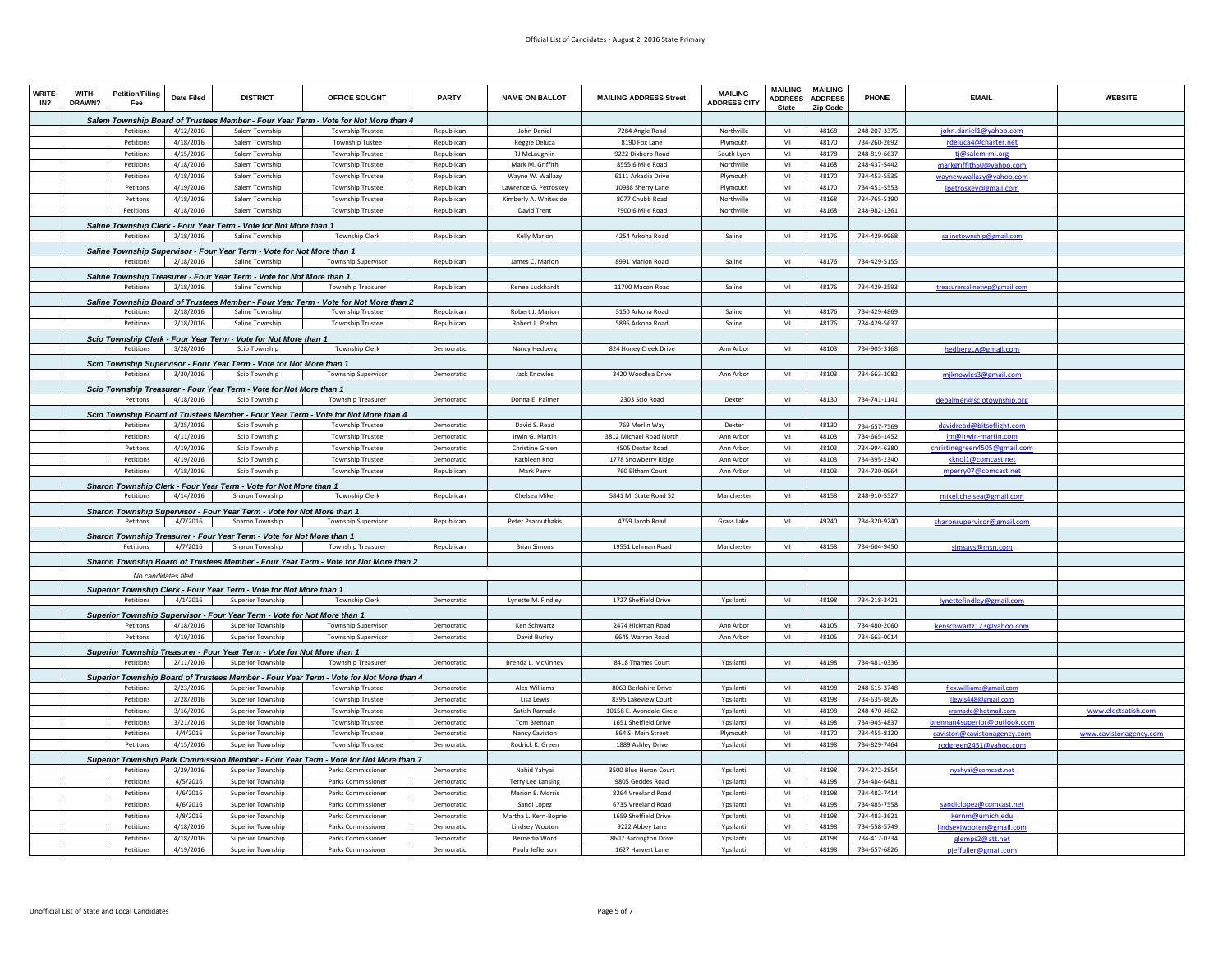| WRITE<br>IN? | WITH-<br>DRAWN? | <b>Petition/Filing</b><br>Fee | Date Filed | <b>DISTRICT</b>                                                                           | OFFICE SOUGHT                                                                                                 | <b>PARTY</b> | <b>NAME ON BALLOT</b>     | <b>MAILING ADDRESS Street</b> | <b>MAILING</b><br><b>ADDRESS CITY</b> | MAILING<br><b>ADDRESS</b><br><b>State</b> | <b>MAILING</b><br><b>ADDRESS</b><br><b>Zip Code</b> | PHONE                        | <b>EMAIL</b>                                     | <b>WEBSITE</b>         |
|--------------|-----------------|-------------------------------|------------|-------------------------------------------------------------------------------------------|---------------------------------------------------------------------------------------------------------------|--------------|---------------------------|-------------------------------|---------------------------------------|-------------------------------------------|-----------------------------------------------------|------------------------------|--------------------------------------------------|------------------------|
|              |                 |                               |            |                                                                                           | Salem Township Board of Trustees Member - Four Year Term - Vote for Not More than 4                           |              |                           |                               |                                       |                                           |                                                     |                              |                                                  |                        |
|              |                 | Petitions                     | 4/12/2016  | Salem Township                                                                            | <b>Township Trustee</b>                                                                                       | Republican   | John Daniel               | 7284 Angle Road               | Northville                            | MI                                        | 48168                                               | 248-207-3375                 | john.daniel1@yahoo.com                           |                        |
|              |                 | Petitions                     | 4/18/2016  | Salem Township                                                                            | <b>Township Tustee</b>                                                                                        | Republican   | Reggie Deluca             | 8190 Fox Lane                 | Plymouth                              | MI                                        | 48170                                               | 734-260-2692                 | rdeluca4@charter.net                             |                        |
|              |                 | Petitions                     | 4/15/2016  | Salem Township                                                                            | <b>Township Trustee</b>                                                                                       | Republican   | TJ McLaughlin             | 9222 Dixboro Road             | South Lvon                            | MI                                        | 48178                                               | 248-819-6637                 | ti@salem-mi.org                                  |                        |
|              |                 | Petitions                     | 4/18/2016  | Salem Township                                                                            | <b>Township Trustee</b>                                                                                       | Republican   | Mark M. Griffith          | 8555 6 Mile Road              | Northville                            | MI                                        | 48168                                               | 248-437-5442                 | markgriffith50@yahoo.com                         |                        |
|              |                 | Petitions                     | 4/18/2016  | Salem Township                                                                            | Township Trustee                                                                                              | Republican   | Wayne W. Wallazy          | 6111 Arkadia Drive            | Plymouth                              | $\mathsf{M}\mathsf{I}$                    | 48170                                               | 734-453-5535                 | waynewwallazy@yahoo.com                          |                        |
|              |                 | Petitons                      | 4/19/2016  | Salem Township                                                                            | <b>Township Trustee</b>                                                                                       | Republican   | Lawrence G. Petroskey     | 10988 Sherry Lane             | Plymouth                              | MI                                        | 48170                                               | 734-451-5553                 | lpetroskey@gmail.com                             |                        |
|              |                 | Petitons                      | 4/18/2016  | Salem Township                                                                            | <b>Township Trustee</b>                                                                                       | Republican   | Kimberly A. Whiteside     | 8077 Chubb Road               | Northville                            | MI                                        | 48168                                               | 734-765-5190                 |                                                  |                        |
|              |                 | Petitions                     | 4/18/2016  | Salem Township                                                                            | <b>Township Trustee</b>                                                                                       | Republican   | David Trent               | 7900 6 Mile Road              | Northville                            | MI                                        | 48168                                               | 248-982-1361                 |                                                  |                        |
|              |                 |                               |            | Saline Township Clerk - Four Year Term - Vote for Not More than 1                         |                                                                                                               |              |                           |                               |                                       |                                           |                                                     |                              |                                                  |                        |
|              |                 | Petitions                     | 2/18/2016  | Saline Township                                                                           | <b>Township Clerk</b>                                                                                         | Republican   | Kelly Marion              | 4254 Arkona Road              | Saline                                | MI                                        | 48176                                               | 734-429-9968                 | salinetownshin@gmail.com                         |                        |
|              |                 |                               |            | Saline Township Supervisor - Four Year Term - Vote for Not More than 1                    |                                                                                                               |              |                           |                               |                                       |                                           |                                                     |                              |                                                  |                        |
|              |                 | Petitions                     | 2/18/2016  | Saline Township                                                                           | <b>Township Supervisor</b>                                                                                    | Republican   | James C. Marion           | 8991 Marion Road              | Saline                                | MI                                        | 48176                                               | 734-429-5155                 |                                                  |                        |
|              |                 |                               |            | Saline Township Treasurer - Four Year Term - Vote for Not More than 1                     |                                                                                                               |              |                           |                               |                                       |                                           |                                                     |                              |                                                  |                        |
|              |                 | Petitions                     | 2/18/2016  | Saline Township                                                                           | Township Treasurer                                                                                            | Republican   | Renee Luckhardt           | 11700 Macon Road              | Saline                                | MI                                        | 48176                                               | 734-429-2593                 | treasurersalinetwp@gmail.com                     |                        |
|              |                 |                               |            |                                                                                           | Saline Township Board of Trustees Member - Four Year Term - Vote for Not More than 2                          |              |                           |                               |                                       |                                           |                                                     |                              |                                                  |                        |
|              |                 | Petitions                     | 2/18/2016  | Saline Township                                                                           | <b>Township Trustee</b>                                                                                       | Republican   | Robert J. Marion          | 3150 Arkona Road              | Saline                                | MI                                        | 48176                                               | 734-429-4869                 |                                                  |                        |
|              |                 | Petitions                     | 2/18/2016  | Saline Township                                                                           | <b>Township Trustee</b>                                                                                       | Republican   | Robert L. Prehn           | 5895 Arkona Road              | Saline                                | MI                                        | 48176                                               | 734-429-5637                 |                                                  |                        |
|              |                 |                               |            | Scio Township Clerk - Four Year Term - Vote for Not More than 1                           |                                                                                                               |              |                           |                               |                                       |                                           |                                                     |                              |                                                  |                        |
|              |                 | Petitions                     | 3/28/2016  | Scio Township                                                                             | Township Clerk                                                                                                | Democratic   | Nancy Hedberg             | 824 Honey Creek Drive         | Ann Arbor                             | MI                                        | 48103                                               | 734-905-3168                 | hedbergLA@gmail.com                              |                        |
|              |                 |                               |            | Scio Township Supervisor - Four Year Term - Vote for Not More than 1                      |                                                                                                               |              |                           |                               |                                       |                                           |                                                     |                              |                                                  |                        |
|              |                 | Petitions                     | 3/30/2016  | Scio Township                                                                             | Township Supervisor                                                                                           | Democratic   | Jack Knowles              | 3420 Woodlea Drive            | Ann Arbor                             | MI                                        | 48103                                               | 734-663-3082                 | mjknowles3@gmail.com                             |                        |
|              |                 |                               |            |                                                                                           |                                                                                                               |              |                           |                               |                                       |                                           |                                                     |                              |                                                  |                        |
|              |                 | Petitons                      | 4/18/2016  | Scio Township Treasurer - Four Year Term - Vote for Not More than 1<br>Scio Township      | <b>Township Treasurer</b>                                                                                     | Democratic   | Donna F. Palmer           | 2303 Scio Road                | Dexter                                | MI                                        | 48130                                               | 734-741-1141                 | depalmer@sciotownship.org                        |                        |
|              |                 |                               |            |                                                                                           |                                                                                                               |              |                           |                               |                                       |                                           |                                                     |                              |                                                  |                        |
|              |                 | Petitions                     | 3/25/2016  | Scio Township                                                                             | Scio Township Board of Trustees Member - Four Year Term - Vote for Not More than 4<br><b>Township Trustee</b> | Democratic   | David S. Read             | 769 Merlin Way                | Dexter                                | MI                                        | 48130                                               |                              |                                                  |                        |
|              |                 | Petitions                     | 4/11/2016  | Scio Township                                                                             | Township Trustee                                                                                              | Democratic   | Irwin G. Martin           | 3812 Michael Road North       | Ann Arbor                             | MI                                        | 48103                                               | 734-657-7569<br>734-665-1452 | davidread@bitsoflight.com<br>im@irwin-martin.com |                        |
|              |                 | Petitons                      | 4/19/2016  | Scio Township                                                                             | <b>Township Trustee</b>                                                                                       | Democratic   | <b>Christine Green</b>    | 4505 Dexter Road              | Ann Arbor                             | $\mathsf{M} \mathsf{I}$                   | 48103                                               | 734-994-6380                 | christinegreen4505@gmail.com                     |                        |
|              |                 | Petitions                     | 4/19/2016  | Scio Township                                                                             | <b>Township Trustee</b>                                                                                       | Democratic   | Kathleen Knol             | 1778 Snowberry Ridge          | Ann Arbor                             | MI                                        | 48103                                               | 734-395-2340                 | kknol1@comcast.net                               |                        |
|              |                 | Petitions                     | 4/18/2016  | Scio Township                                                                             | <b>Township Trustee</b>                                                                                       | Republican   | Mark Perry                | 760 Eltham Court              | Ann Arbor                             | $\mathsf{MI}$                             | 48103                                               | 734-730-0964                 | mperry07@comcast.net                             |                        |
|              |                 |                               |            | Sharon Township Clerk - Four Year Term - Vote for Not More than 1                         |                                                                                                               |              |                           |                               |                                       |                                           |                                                     |                              |                                                  |                        |
|              |                 | Petitions                     | 4/14/2016  | Sharon Township                                                                           | <b>Township Clerk</b>                                                                                         | Republican   | Chelsea Mikel             | 5841 MI State Road 52         | Manchester                            | MI                                        | 48158                                               | 248-910-5527                 | mikel.chelsea@gmail.com                          |                        |
|              |                 |                               |            |                                                                                           |                                                                                                               |              |                           |                               |                                       |                                           |                                                     |                              |                                                  |                        |
|              |                 | Petitons                      | 4/7/2016   | Sharon Township Supervisor - Four Year Term - Vote for Not More than 1<br>Sharon Township | Township Supervisor                                                                                           | Republican   | <b>Peter Psarouthakis</b> | 4759 Jacob Road               | Grass Lake                            | MI                                        | 49240                                               | 734-320-9240                 | sharonsupervisor@gmail.com                       |                        |
|              |                 |                               |            |                                                                                           |                                                                                                               |              |                           |                               |                                       |                                           |                                                     |                              |                                                  |                        |
|              |                 | Petitions                     | 4/7/2016   | Sharon Township Treasurer - Four Year Term - Vote for Not More than 1<br>Sharon Township  | <b>Township Treasurer</b>                                                                                     | Republican   | <b>Brian Simons</b>       | 19551 Lehman Road             | Manchester                            | MI                                        | 48158                                               | 734-604-9450                 | simsays@msn.com                                  |                        |
|              |                 |                               |            |                                                                                           |                                                                                                               |              |                           |                               |                                       |                                           |                                                     |                              |                                                  |                        |
|              |                 |                               |            |                                                                                           | Sharon Township Board of Trustees Member - Four Year Term - Vote for Not More than 2                          |              |                           |                               |                                       |                                           |                                                     |                              |                                                  |                        |
|              |                 | No candidates filed           |            |                                                                                           |                                                                                                               |              |                           |                               |                                       |                                           |                                                     |                              |                                                  |                        |
|              |                 |                               |            | Superior Township Clerk - Four Year Term - Vote for Not More than 1                       |                                                                                                               |              |                           |                               |                                       |                                           |                                                     |                              |                                                  |                        |
|              |                 | Petitions                     | 4/1/2016   | Superior Township                                                                         | <b>Township Clerk</b>                                                                                         | Democratic   | Lynette M. Findley        | 1727 Sheffield Drive          | Ypsilanti                             | $\mathsf{M} \mathsf{I}$                   | 48198                                               | 734-218-3421                 | lynettefindley@gmail.com                         |                        |
|              |                 |                               |            | Superior Township Supervisor - Four Year Term - Vote for Not More than 1                  |                                                                                                               |              |                           |                               |                                       |                                           |                                                     |                              |                                                  |                        |
|              |                 | Petitons                      | 4/18/2016  | Superior Township                                                                         | Township Supervisor                                                                                           | Democratic   | Ken Schwartz              | 2474 Hickman Road             | Ann Arbor                             | MI                                        | 48105                                               | 734-480-2060                 | kenschwartz123@yahoo.com                         |                        |
|              |                 | Petitons                      | 4/19/2016  | Superior Township                                                                         | <b>Township Supervisor</b>                                                                                    | Democratic   | David Burley              | 6645 Warren Road              | Ann Arbor                             | $\mathsf{M}\mathsf{I}$                    | 48105                                               | 734-663-0014                 |                                                  |                        |
|              |                 |                               |            | Superior Township Treasurer - Four Year Term - Vote for Not More than 1                   |                                                                                                               |              |                           |                               |                                       |                                           |                                                     |                              |                                                  |                        |
|              |                 | Petitions                     | 2/11/2016  | Superior Township                                                                         | <b>Township Treasurer</b>                                                                                     | Democratic   | Brenda L. McKinney        | 8418 Thames Court             | Ypsilanti                             | MI                                        | 48198                                               | 734-481-0336                 |                                                  |                        |
|              |                 |                               |            |                                                                                           | Superior Township Board of Trustees Member - Four Year Term - Vote for Not More than 4                        |              |                           |                               |                                       |                                           |                                                     |                              |                                                  |                        |
|              |                 | Petitions                     | 2/23/2016  | Superior Township                                                                         | <b>Township Trustee</b>                                                                                       | Democratic   | Alex Williams             | 8063 Berkshire Drive          | Ypsilanti                             | MI                                        | 48198                                               | 248-615-3748                 | flex.williams@gmail.com                          |                        |
|              |                 | Petitions                     | 2/28/2016  | Superior Township                                                                         | <b>Township Trustee</b>                                                                                       | Democratic   | Lisa Lewis                | 8395 Lakeview Court           | Ypsilanti                             | MI                                        | 48198                                               | 734-635-8626                 | llewis448@gmail.com                              |                        |
|              |                 | Petitions                     | 3/16/2016  | Superior Township                                                                         | <b>Township Trustee</b>                                                                                       | Democratic   | Satish Ramade             | 10158 E. Avondale Circle      | Ypsilanti                             | MI                                        | 48198                                               | 248-470-4862                 | sramade@hotmail.com                              | www.electsatish.com    |
|              |                 | Petitions                     | 3/21/2016  | <b>Superior Township</b>                                                                  | <b>Township Trustee</b>                                                                                       | Democratic   | <b>Tom Brennan</b>        | 1651 Sheffield Drive          | Ypsilanti                             | MI                                        | 48198                                               | 734-945-4837                 | orennan4superior@outlook.con                     |                        |
|              |                 | Petitions                     | 4/4/2016   | Superior Township                                                                         | <b>Township Trustee</b>                                                                                       | Democratic   | Nancy Caviston            | 864 S. Main Street            | Plymouth                              | MI                                        | 48170                                               | 734-455-8120                 | caviston@cavistonagency.com                      | www.cavistonagency.cor |
|              |                 | Petitons                      | 4/15/2016  | Superior Township                                                                         | <b>Township Trustee</b>                                                                                       | Democratic   | Rodrick K. Green          | 1889 Ashley Drive             | Ypsilanti                             | $\mathsf{M} \mathsf{I}$                   | 48198                                               | 734-829-7464                 | rodgreen2451@yahoo.com                           |                        |
|              |                 |                               |            |                                                                                           | Superior Township Park Commission Member - Four Year Term - Vote for Not More than 7                          |              |                           |                               |                                       |                                           |                                                     |                              |                                                  |                        |
|              |                 | Petitions                     | 2/29/2016  | <b>Superior Township</b>                                                                  | <b>Parks Commissioner</b>                                                                                     | Democratic   | Nahid Yahyai              | 3500 Blue Heron Court         | Ypsilanti                             | $\mathsf{MI}$                             | 48198                                               | 734-272-2854                 | nyahyai@comcast.net                              |                        |
|              |                 | Petitions                     | 4/5/2016   | Superior Township                                                                         | Parks Commissioner                                                                                            | Democratic   | <b>Terry Lee Lansing</b>  | 9805 Geddes Road              | Ypsilanti                             | MI                                        | 48198                                               | 734-484-6481                 |                                                  |                        |
|              |                 | Petitions                     | 4/6/2016   | Superior Township                                                                         | Parks Commissioner                                                                                            | Democratic   | Marion E. Morris          | 8264 Vreeland Road            | Ypsilanti                             | MI                                        | 48198                                               | 734-482-7414                 |                                                  |                        |
|              |                 | Petitions                     | 4/6/2016   | Superior Township                                                                         | <b>Parks Commissioner</b>                                                                                     | Democratic   | Sandi Lopez               | 6735 Vreeland Road            | Ypsilanti                             | MI                                        | 48198                                               | 734-485-7558                 | sandiclonez@comcast.net                          |                        |
|              |                 | Petitions                     | 4/8/2016   | <b>Superior Township</b>                                                                  | <b>Parks Commissioner</b>                                                                                     | Democratic   | Martha L. Kern-Boprie     | 1659 Sheffield Drive          | Ypsilanti                             | MI                                        | 48198                                               | 734-483-3621                 | kernm@umich.edu                                  |                        |
|              |                 | Petitions                     | 4/18/2016  | Superior Township                                                                         | Parks Commissioner                                                                                            | Democratic   | Lindsey Wooten            | 9222 Abbey Lane               | Ypsilanti                             | $\mathsf{M} \mathsf{I}$                   | 48198                                               | 734-558-5749                 | indseyjwooten@gmail.com                          |                        |
|              |                 | Petitions                     | 4/18/2016  | Superior Township                                                                         | Parks Commissioner                                                                                            | Democratic   | Bernedia Word             | 8607 Barrington Drive         | Ypsilanti                             | $\mathsf{MI}$                             | 48198                                               | 734-417-0334                 | glemps2@att.net                                  |                        |
|              |                 | Petitions                     | 4/19/2016  | Superior Township                                                                         | Parks Commissioner                                                                                            | Democratic   | Paula Jefferson           | 1627 Harvest Lane             | Ypsilanti                             | MI                                        | 48198                                               | 734-657-6826                 | pjeffuller@gmail.com                             |                        |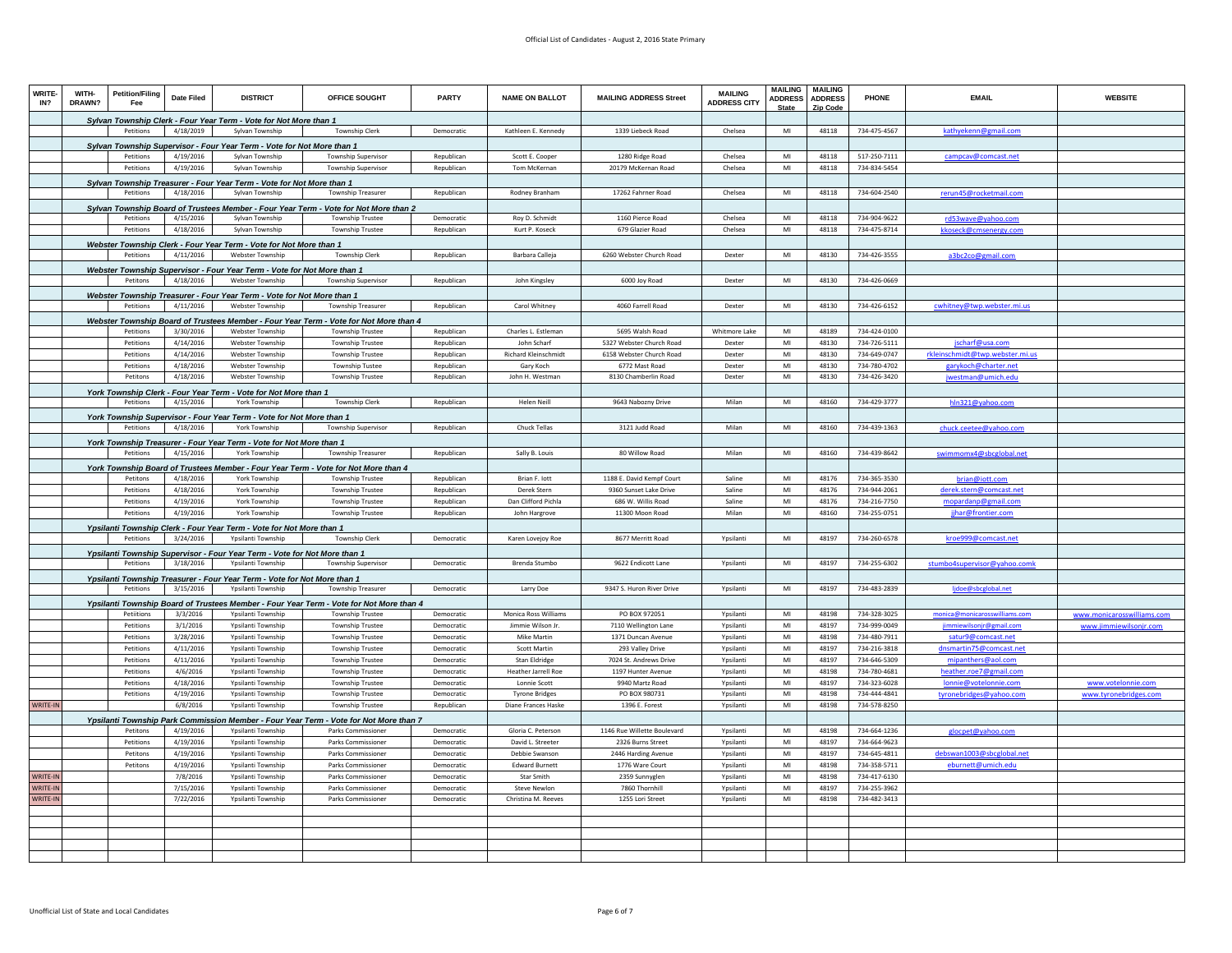| WRITE-<br>IN?       | WITH-<br>DRAWN? | <b>Petition/Filing</b><br>Fee | <b>Date Filed</b>      | <b>DISTRICT</b>                                                                 | OFFICE SOUGHT                                                                           | <b>PARTY</b>             | <b>NAME ON BALLOT</b>                      | <b>MAILING ADDRESS Street</b>          | <b>MAILING</b><br><b>ADDRESS CITY</b> | <b>MAILING</b><br><b>ADDRESS</b><br><b>State</b> | <b>MAILING</b><br><b>ADDRESS</b><br>Zip Code | PHONE                        | <b>EMAIL</b>                                  | <b>WEBSITE</b>             |
|---------------------|-----------------|-------------------------------|------------------------|---------------------------------------------------------------------------------|-----------------------------------------------------------------------------------------|--------------------------|--------------------------------------------|----------------------------------------|---------------------------------------|--------------------------------------------------|----------------------------------------------|------------------------------|-----------------------------------------------|----------------------------|
|                     |                 |                               |                        | Sylvan Township Clerk - Four Year Term - Vote for Not More than 1               |                                                                                         |                          |                                            |                                        |                                       |                                                  |                                              |                              |                                               |                            |
|                     |                 | Petitions                     | 4/18/2019              | Sylvan Township                                                                 | <b>Township Clerk</b>                                                                   | Democratic               | Kathleen E. Kennedy                        | 1339 Liebeck Road                      | Chelsea                               | MI                                               | 48118                                        | 734-475-4567                 | kathyekenn@gmail.com                          |                            |
|                     |                 |                               |                        | Sylvan Township Supervisor - Four Year Term - Vote for Not More than 1          |                                                                                         |                          |                                            |                                        |                                       |                                                  |                                              |                              |                                               |                            |
|                     |                 | Petitions                     | 4/19/2016              | Sylvan Township                                                                 | Township Supervisor                                                                     | Republican               | Scott E. Cooper                            | 1280 Ridge Road                        | Chelsea                               | MI                                               | 48118                                        | 517-250-7111                 | campcav@comcast.net                           |                            |
|                     |                 | Petitions                     | 4/19/2016              | Sylvan Township                                                                 | Township Supervisor                                                                     | Republican               | Tom McKernan                               | 20179 McKernan Road                    | Chelsea                               | MI                                               | 48118                                        | 734-834-5454                 |                                               |                            |
|                     |                 |                               |                        | Sylvan Township Treasurer - Four Year Term - Vote for Not More than 1           |                                                                                         |                          |                                            |                                        |                                       |                                                  |                                              |                              |                                               |                            |
|                     |                 | Petitions                     | 4/18/2016              | Sylvan Township                                                                 | <b>Township Treasurer</b>                                                               | Republican               | Rodney Branham                             | 17262 Fahrner Road                     | Chelsea                               | $\mathsf{MI}$                                    | 48118                                        | 734-604-2540                 | rerun45@rocketmail.com                        |                            |
|                     |                 |                               |                        |                                                                                 | Sylvan Township Board of Trustees Member - Four Year Term - Vote for Not More than 2    |                          |                                            |                                        |                                       |                                                  |                                              |                              |                                               |                            |
|                     |                 | Petitions                     | 4/15/2016              | Sylvan Township                                                                 | <b>Township Trustee</b>                                                                 | Democratio               | Roy D. Schmidt                             | 1160 Pierce Road                       | Chelsea                               | MI                                               | 48118                                        | 734-904-9622                 | rd53wave@yahoo.com                            |                            |
|                     |                 | Petitions                     | 4/18/2016              | Sylvan Township                                                                 | <b>Township Trustee</b>                                                                 | Republican               | Kurt P. Koseck                             | 679 Glazier Road                       | Chelsea                               | M <sub>l</sub>                                   | 48118                                        | 734-475-8714                 | kkoseck@cmsenergy.com                         |                            |
|                     |                 |                               |                        | Webster Township Clerk - Four Year Term - Vote for Not More than 1              |                                                                                         |                          |                                            |                                        |                                       |                                                  |                                              |                              |                                               |                            |
|                     |                 | Petitions                     | 4/11/2016              | Webster Township                                                                | <b>Township Clerk</b>                                                                   | Republican               | Barbara Calleja                            | 6260 Webster Church Road               | Dexter                                | $\mathsf{MI}$                                    | 48130                                        | 734-426-3555                 | a3bc2co@gmail.com                             |                            |
|                     |                 |                               |                        | <u> Webster Township Supervisor - Four Year Term - Vote for Not More than 1</u> |                                                                                         |                          |                                            |                                        |                                       |                                                  |                                              |                              |                                               |                            |
|                     |                 | Petitons                      | 4/18/2016              | Webster Township                                                                | <b>Township Supervisor</b>                                                              | Republican               | John Kingsley                              | 6000 Joy Road                          | Dexter                                | MI                                               | 48130                                        | 734-426-0669                 |                                               |                            |
|                     |                 |                               |                        | Webster Township Treasurer - Four Year Term - Vote for Not More than 1          |                                                                                         |                          |                                            |                                        |                                       |                                                  |                                              |                              |                                               |                            |
|                     |                 | Petitions                     | 4/11/2016              | Webster Township                                                                | <b>Township Treasurer</b>                                                               | Republican               | Carol Whitney                              | 4060 Farrell Road                      | Dexter                                | MI                                               | 48130                                        | 734-426-6152                 | cwhitney@twp.webster.mi.us                    |                            |
|                     |                 |                               |                        |                                                                                 | Webster Township Board of Trustees Member - Four Year Term - Vote for Not More than 4   |                          |                                            |                                        |                                       |                                                  |                                              |                              |                                               |                            |
|                     |                 | Petitions                     | 3/30/2016              | Webster Township                                                                | <b>Township Trustee</b>                                                                 | Republican               | Charles L. Estleman                        | 5695 Walsh Road                        | <b>Whitmore Lake</b>                  | MI                                               | 48189                                        | 734-424-0100                 |                                               |                            |
|                     |                 | Petitions                     | 4/14/2016              | Webster Township                                                                | <b>Township Trustee</b>                                                                 | Republican               | John Scharf                                | 5327 Webster Church Road               | Dexter                                | MI                                               | 48130                                        | 734-726-5111                 | jscharf@usa.com                               |                            |
|                     |                 | Petitions                     | 4/14/2016              | Webster Township                                                                | Township Trustee                                                                        | Republican               | Richard Kleinschmidt                       | 6158 Webster Church Road               | Dexter                                | MI                                               | 48130                                        | 734-649-0747                 | rkleinschmidt@twp.webster.mi.us               |                            |
|                     |                 | Petitions                     | 4/18/2016              | Webster Township                                                                | <b>Township Tustee</b>                                                                  | Republican               | Gary Koch                                  | 6772 Mast Road                         | Dexter                                | MI                                               | 48130                                        | 734-780-4702                 | garykoch@charter.net                          |                            |
|                     |                 | Petitons                      | 4/18/2016              | Webster Township                                                                | <b>Township Trustee</b>                                                                 | Republican               | John H. Westman                            | 8130 Chamberlin Road                   | Dexter                                | MI                                               | 48130                                        | 734-426-3420                 | jwestman@umich.edu                            |                            |
|                     |                 |                               |                        | York Township Clerk - Four Year Term - Vote for Not More than 1                 |                                                                                         |                          |                                            |                                        |                                       |                                                  |                                              |                              |                                               |                            |
|                     |                 | Petitions                     | 4/15/2016              | York Township                                                                   | Township Clerk                                                                          | Republican               | <b>Helen Neill</b>                         | 9643 Nabozny Drive                     | Milan                                 | MI                                               | 48160                                        | 734-429-3777                 | hln321@yahoo.com                              |                            |
|                     |                 |                               |                        | York Township Supervisor - Four Year Term - Vote for Not More than 1            |                                                                                         |                          |                                            |                                        |                                       |                                                  |                                              |                              |                                               |                            |
|                     |                 | Petitions                     | 4/18/2016              | York Township                                                                   | Township Supervisor                                                                     | Republican               | Chuck Tellas                               | 3121 Judd Road                         | Milan                                 | MI                                               | 48160                                        | 734-439-1363                 | chuck.ceetee@yahoo.com                        |                            |
|                     |                 |                               |                        | York Township Treasurer - Four Year Term - Vote for Not More than 1             |                                                                                         |                          |                                            |                                        |                                       |                                                  |                                              |                              |                                               |                            |
|                     |                 | Petitions                     | 4/15/2016              | York Township                                                                   | <b>Township Treasurer</b>                                                               | Republican               | Sally B. Louis                             | 80 Willow Road                         | Milan                                 | MI                                               | 48160                                        | 734-439-8642                 | swimmomx4@sbcglobal.net                       |                            |
|                     |                 |                               |                        |                                                                                 | York Township Board of Trustees Member - Four Year Term - Vote for Not More than 4      |                          |                                            |                                        |                                       |                                                  |                                              |                              |                                               |                            |
|                     |                 | Petitons                      | 4/18/2016              | York Township                                                                   | <b>Township Trustee</b>                                                                 | Republican               | Brian F. lott                              | 1188 E. David Kempf Court              | Saline                                | MI                                               | 48176                                        | 734-365-3530                 | brian@iott.com                                |                            |
|                     |                 | Petitions                     | 4/18/2016              | York Township                                                                   | <b>Township Trustee</b>                                                                 | Republican               | Derek Stern                                | 9360 Sunset Lake Drive                 | Saline                                | MI                                               | 48176                                        | 734-944-2061                 | derek.stern@comcast.net                       |                            |
|                     |                 | Petitions                     | 4/19/2016              | York Township                                                                   | Township Trustee                                                                        | Republican               | Dan Clifford Pichla                        | 686 W. Willis Road                     | Saline                                | MI                                               | 48176                                        | 734-216-7750                 | mopardanp@gmail.com                           |                            |
|                     |                 | Petitions                     | 4/19/2016              | York Township                                                                   | Township Trustee                                                                        | Republican               | John Hargrove                              | 11300 Moon Road                        | Milan                                 | MI                                               | 48160                                        | 734-255-0751                 | jjhar@frontier.com                            |                            |
|                     |                 |                               |                        | Ypsilanti Township Clerk - Four Year Term - Vote for Not More than 1            |                                                                                         |                          |                                            |                                        |                                       |                                                  |                                              |                              |                                               |                            |
|                     |                 | Petitions                     | 3/24/2016              | Ypsilanti Township                                                              | <b>Township Clerk</b>                                                                   | Democratic               | Karen Loveiov Roe                          | 8677 Merritt Road                      | Ypsilanti                             | MI                                               | 48197                                        | 734-260-6578                 | kroe999@comcast.net                           |                            |
|                     |                 |                               |                        | Ypsilanti Township Supervisor - Four Year Term - Vote for Not More than 1       |                                                                                         |                          |                                            |                                        |                                       |                                                  |                                              |                              |                                               |                            |
|                     |                 | Petitions                     | 3/18/2016              | Ypsilanti Township                                                              | Township Supervisor                                                                     | Democratic               | Brenda Stumbo                              | 9622 Endicott Lane                     | Ypsilanti                             | MI                                               | 48197                                        | 734-255-6302                 | stumbo4supervisor@yahoo.comk                  |                            |
|                     |                 |                               |                        | Ypsilanti Township Treasurer - Four Year Term - Vote for Not More than 1        |                                                                                         |                          |                                            |                                        |                                       |                                                  |                                              |                              |                                               |                            |
|                     |                 | Petitions                     | 3/15/2016              | Ypsilanti Township                                                              | Township Treasurer                                                                      | Democratic               | Larry Doe                                  | 9347 S. Huron River Drive              | Ypsilanti                             | MI                                               | 48197                                        | 734-483-2839                 | lidoe@sbcglobal.net                           |                            |
|                     |                 |                               |                        |                                                                                 | Ypsilanti Township Board of Trustees Member - Four Year Term - Vote for Not More than 4 |                          |                                            |                                        |                                       |                                                  |                                              |                              |                                               |                            |
|                     |                 | Petiitions                    | 3/3/2016               | Ypsilanti Township                                                              | <b>Township Trustee</b>                                                                 | Democratic               | Monica Ross Williams                       | PO BOX 972051                          | Yosilanti                             | MI                                               | 48198                                        | 734-328-3025                 | monica@monicarosswilliams.com                 | www.monicarosswilliams.com |
|                     |                 | Petitions                     | 3/1/2016               | Ypsilanti Township                                                              | Township Trustee                                                                        | Democratio               | Jimmie Wilson Jr                           | 7110 Wellington Lane                   | Ypsilanti                             | MI                                               | 48197                                        | 734-999-0049                 | iimmiewilsonir@gmail.com                      | www.iimmiewilsonir.com     |
|                     |                 | Petitions<br>Petitions        | 3/28/2016<br>4/11/2016 | Ypsilanti Township<br>Ypsilanti Township                                        | <b>Township Trustee</b><br><b>Township Trustee</b>                                      | Democratic<br>Democratic | <b>Mike Martin</b><br>Scott Martin         | 1371 Duncan Avenue<br>293 Valley Drive | Ypsilanti<br>Ypsilanti                | MI<br>MI                                         | 48198<br>48197                               | 734-480-7911<br>734-216-3818 | satur9@comcast.net<br>dnsmartin75@comcast.net |                            |
|                     |                 | Petitions                     | 4/11/2016              | Ypsilanti Township                                                              | <b>Township Trustee</b>                                                                 | Democratic               | Stan Eldridge                              | 7024 St. Andrews Drive                 | Ypsilanti                             | MI                                               | 48197                                        | 734-646-5309                 | mipanthers@aol.com                            |                            |
|                     |                 | Petitions                     | 4/6/2016               | Ypsilanti Township                                                              | <b>Township Trustee</b>                                                                 | Democratic               | <b>Heather Jarrell Roe</b>                 | 1197 Hunter Avenue                     | Yosilanti                             | MI                                               | 48198                                        | 734-780-4681                 | heather.roe7@gmail.com                        |                            |
|                     |                 | Petitions                     | 4/18/2016              | Ypsilanti Township                                                              | <b>Township Trustee</b>                                                                 | Democratic               | Lonnie Scott                               | 9940 Martz Road                        | Ypsilanti                             | MI                                               | 48197                                        | 734-323-6028                 | lonnie@votelonnie.com                         | www.votelonnie.com         |
|                     |                 | Petitions                     | 4/19/2016              | Ynsilanti Townshin                                                              | <b>Township Trustee</b>                                                                 | Democratic               | <b>Tyrone Bridges</b>                      | PO BOX 980731                          | Ynsilanti                             | MI                                               | 48198                                        | 734-444-4841                 | tyronebridges@yahoo.con                       | www.tyronebridges.com      |
| WRITE-II            |                 |                               | 6/8/2016               | Ypsilanti Township                                                              | <b>Township Trustee</b>                                                                 | Republican               | Diane Frances Haske                        | 1396 E. Forest                         | Ypsilanti                             | $\mathsf{MI}$                                    | 48198                                        | 734-578-8250                 |                                               |                            |
|                     |                 |                               |                        |                                                                                 | Ypsilanti Township Park Commission Member - Four Year Term - Vote for Not More than 7   |                          |                                            |                                        |                                       |                                                  |                                              |                              |                                               |                            |
|                     |                 | <b>Petitons</b>               | 4/19/2016              | Ypsilanti Township                                                              | Parks Commissioner                                                                      | Democratic               | Gloria C. Peterson                         | 1146 Rue Willette Boulevard            | Ypsilanti                             | MI                                               | 48198                                        | 734-664-1236                 | glocpet@yahoo.com                             |                            |
|                     |                 | Petitions                     | 4/19/2016              | Ypsilanti Township                                                              | Parks Commissioner                                                                      | Democratic               | David L. Streeter                          | 2326 Burns Street                      | Ypsilanti                             | MI                                               | 48197                                        | 734-664-9623                 |                                               |                            |
|                     |                 | Petitons                      | 4/19/2016              | Ypsilanti Township                                                              | <b>Parks Commissioner</b>                                                               | Democratic               | Debbie Swanson                             | 2446 Harding Avenue                    | Ypsilanti                             | MI                                               | 48197                                        | 734-645-4811                 | debswan1003@sbcglobal.net                     |                            |
|                     |                 | Petitons                      | 4/19/2016              | Ypsilanti Township                                                              | Parks Commissioner                                                                      | Democratic               | <b>Edward Burnett</b>                      | 1776 Ware Court                        | Ypsilanti                             | MI                                               | 48198                                        | 734-358-5711                 | eburnett@umich.edu                            |                            |
| WRITE-II            |                 |                               | 7/8/2016               | Ypsilanti Township                                                              | Parks Commissioner                                                                      | Democratic               | Star Smith                                 | 2359 Sunnyglen                         | Ypsilanti                             | MI                                               | 48198                                        | 734-417-6130                 |                                               |                            |
| WRITE-IN<br>WRITE-I |                 |                               | 7/15/2016<br>7/22/2016 | Ynsilanti Townshin<br>Ypsilanti Township                                        | Parks Commissioner<br>Parks Commissioner                                                | Democratic<br>Democratic | <b>Steve Newlon</b><br>Christina M. Reeves | 7860 Thornhill<br>1255 Lori Street     | Ynsilanti<br>Ypsilanti                | MI<br>MI                                         | 48197<br>48198                               | 734-255-3962<br>734-482-3413 |                                               |                            |
|                     |                 |                               |                        |                                                                                 |                                                                                         |                          |                                            |                                        |                                       |                                                  |                                              |                              |                                               |                            |
|                     |                 |                               |                        |                                                                                 |                                                                                         |                          |                                            |                                        |                                       |                                                  |                                              |                              |                                               |                            |
|                     |                 |                               |                        |                                                                                 |                                                                                         |                          |                                            |                                        |                                       |                                                  |                                              |                              |                                               |                            |
|                     |                 |                               |                        |                                                                                 |                                                                                         |                          |                                            |                                        |                                       |                                                  |                                              |                              |                                               |                            |
|                     |                 |                               |                        |                                                                                 |                                                                                         |                          |                                            |                                        |                                       |                                                  |                                              |                              |                                               |                            |